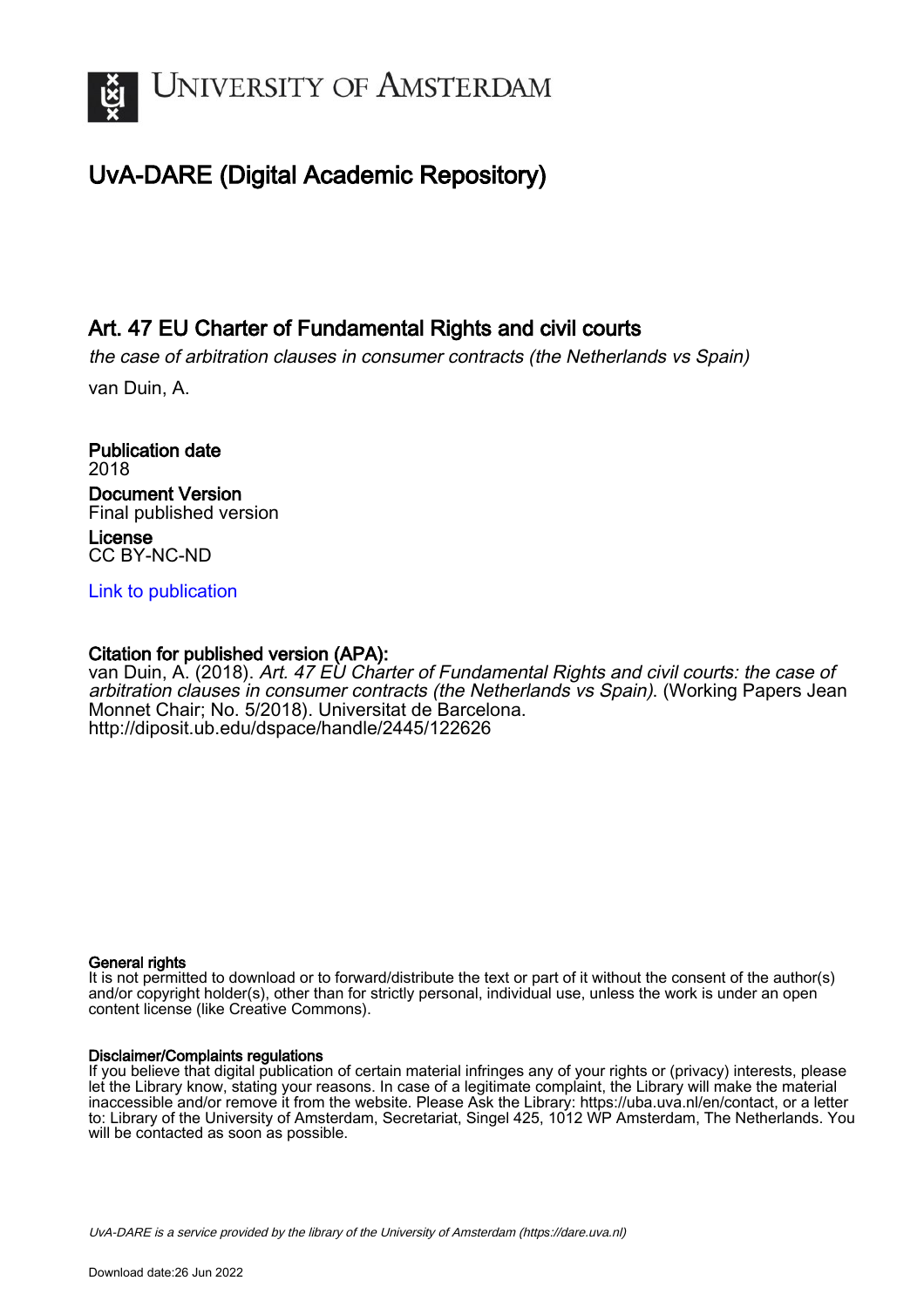

## UvA-DARE (Digital Academic Repository)

### Art. 47 EU Charter of Fundamental Rights and civil courts

the case of arbitration clauses in consumer contracts (the Netherlands vs Spain)

van Duin, A.

Publication date 2018 Document Version Final published version License CC BY-NC-ND

[Link to publication](https://dare.uva.nl/personal/pure/en/publications/art-47-eu-charter-of-fundamental-rights-and-civil-courts(9f090fad-2b31-4c4d-bbf3-dbc57a0f1481).html)

#### Citation for published version (APA):

van Duin, A. (2018). Art. 47 EU Charter of Fundamental Rights and civil courts: the case of arbitration clauses in consumer contracts (the Netherlands vs Spain). (Working Papers Jean Monnet Chair; No. 5/2018). Universitat de Barcelona. <http://diposit.ub.edu/dspace/handle/2445/122626>

#### General rights

It is not permitted to download or to forward/distribute the text or part of it without the consent of the author(s) and/or copyright holder(s), other than for strictly personal, individual use, unless the work is under an open content license (like Creative Commons).

#### Disclaimer/Complaints regulations

If you believe that digital publication of certain material infringes any of your rights or (privacy) interests, please let the Library know, stating your reasons. In case of a legitimate complaint, the Library will make the material inaccessible and/or remove it from the website. Please Ask the Library: https://uba.uva.nl/en/contact, or a letter to: Library of the University of Amsterdam, Secretariat, Singel 425, 1012 WP Amsterdam, The Netherlands. You will be contacted as soon as possible.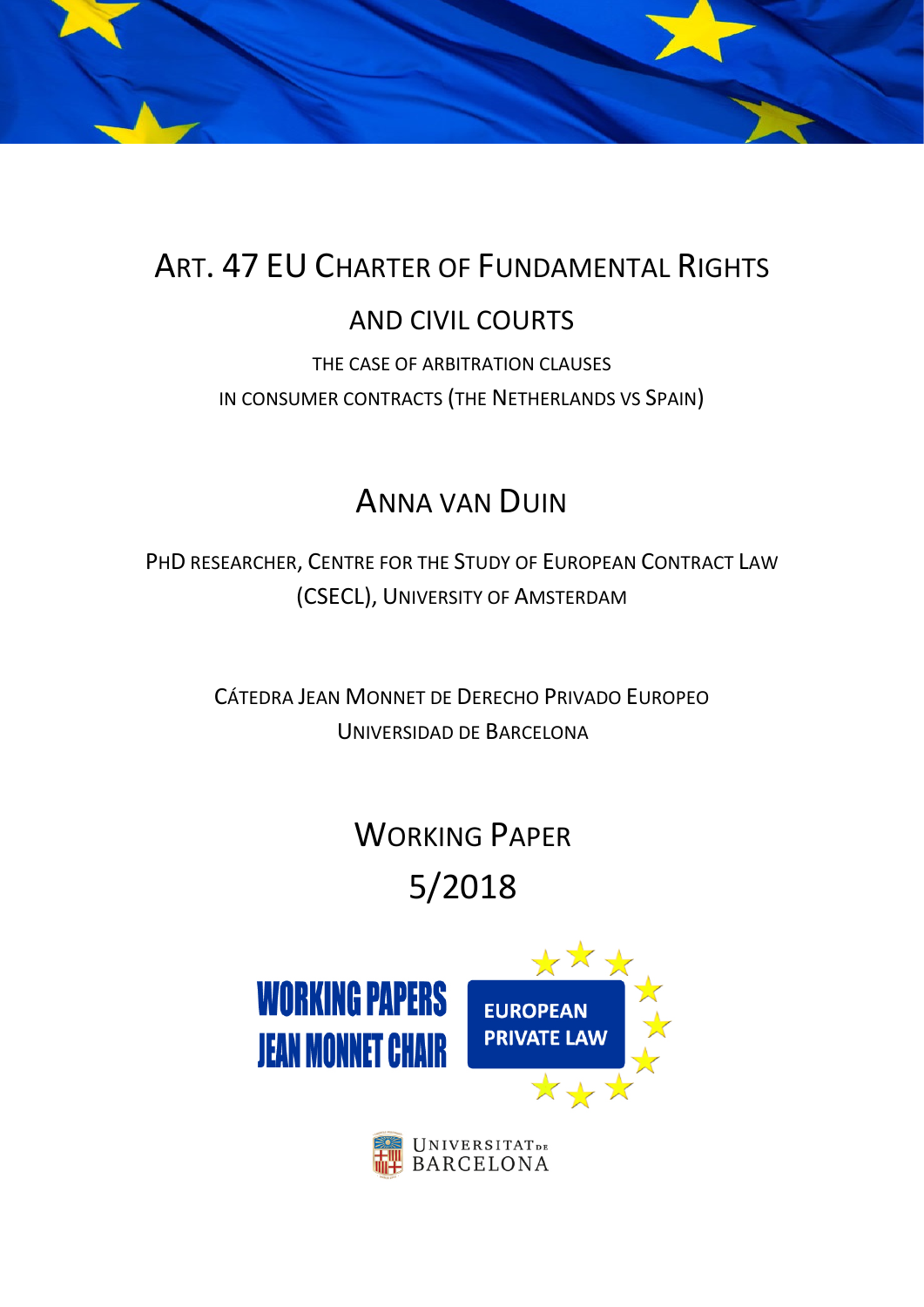

# ART. 47 EU CHARTER OF FUNDAMENTAL RIGHTS

## AND CIVIL COURTS

THE CASE OF ARBITRATION CLAUSES IN CONSUMER CONTRACTS (THE NETHERLANDS VS SPAIN)

## ANNA VAN DUIN

PHD RESEARCHER, CENTRE FOR THE STUDY OF EUROPEAN CONTRACT LAW (CSECL), UNIVERSITY OF AMSTERDAM

> CÁTEDRA JEAN MONNET DE DERECHO PRIVADO EUROPEO UNIVERSIDAD DE BARCELONA

# WORKING PAPER

# 5/2018



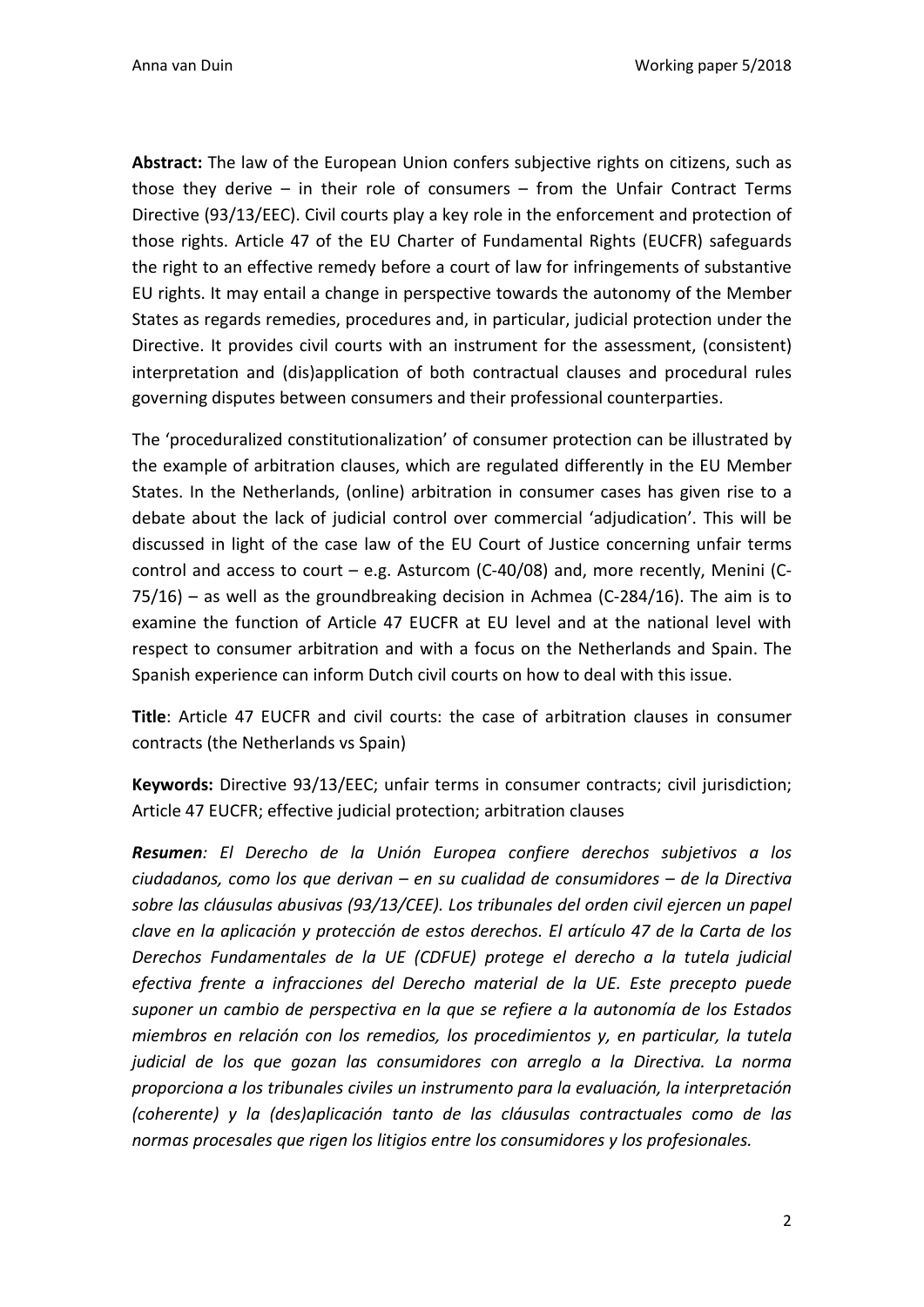**Abstract:** The law of the European Union confers subjective rights on citizens, such as those they derive – in their role of consumers – from the Unfair Contract Terms Directive (93/13/EEC). Civil courts play a key role in the enforcement and protection of those rights. Article 47 of the EU Charter of Fundamental Rights (EUCFR) safeguards the right to an effective remedy before a court of law for infringements of substantive EU rights. It may entail a change in perspective towards the autonomy of the Member States as regards remedies, procedures and, in particular, judicial protection under the Directive. It provides civil courts with an instrument for the assessment, (consistent) interpretation and (dis)application of both contractual clauses and procedural rules governing disputes between consumers and their professional counterparties.

The 'proceduralized constitutionalization' of consumer protection can be illustrated by the example of arbitration clauses, which are regulated differently in the EU Member States. In the Netherlands, (online) arbitration in consumer cases has given rise to a debate about the lack of judicial control over commercial 'adjudication'. This will be discussed in light of the case law of the EU Court of Justice concerning unfair terms control and access to court – e.g. Asturcom (C-40/08) and, more recently, Menini (C-75/16) – as well as the groundbreaking decision in Achmea (C-284/16). The aim is to examine the function of Article 47 EUCFR at EU level and at the national level with respect to consumer arbitration and with a focus on the Netherlands and Spain. The Spanish experience can inform Dutch civil courts on how to deal with this issue.

**Title**: Article 47 EUCFR and civil courts: the case of arbitration clauses in consumer contracts (the Netherlands vs Spain)

**Keywords:** Directive 93/13/EEC; unfair terms in consumer contracts; civil jurisdiction; Article 47 EUCFR; effective judicial protection; arbitration clauses

*Resumen: El Derecho de la Unión Europea confiere derechos subjetivos a los ciudadanos, como los que derivan – en su cualidad de consumidores – de la Directiva sobre las cláusulas abusivas (93/13/CEE). Los tribunales del orden civil ejercen un papel clave en la aplicación y protección de estos derechos. El artículo 47 de la Carta de los Derechos Fundamentales de la UE (CDFUE) protege el derecho a la tutela judicial efectiva frente a infracciones del Derecho material de la UE. Este precepto puede suponer un cambio de perspectiva en la que se refiere a la autonomía de los Estados miembros en relación con los remedios, los procedimientos y, en particular, la tutela judicial de los que gozan las consumidores con arreglo a la Directiva. La norma proporciona a los tribunales civiles un instrumento para la evaluación, la interpretación (coherente) y la (des)aplicación tanto de las cláusulas contractuales como de las normas procesales que rigen los litigios entre los consumidores y los profesionales.*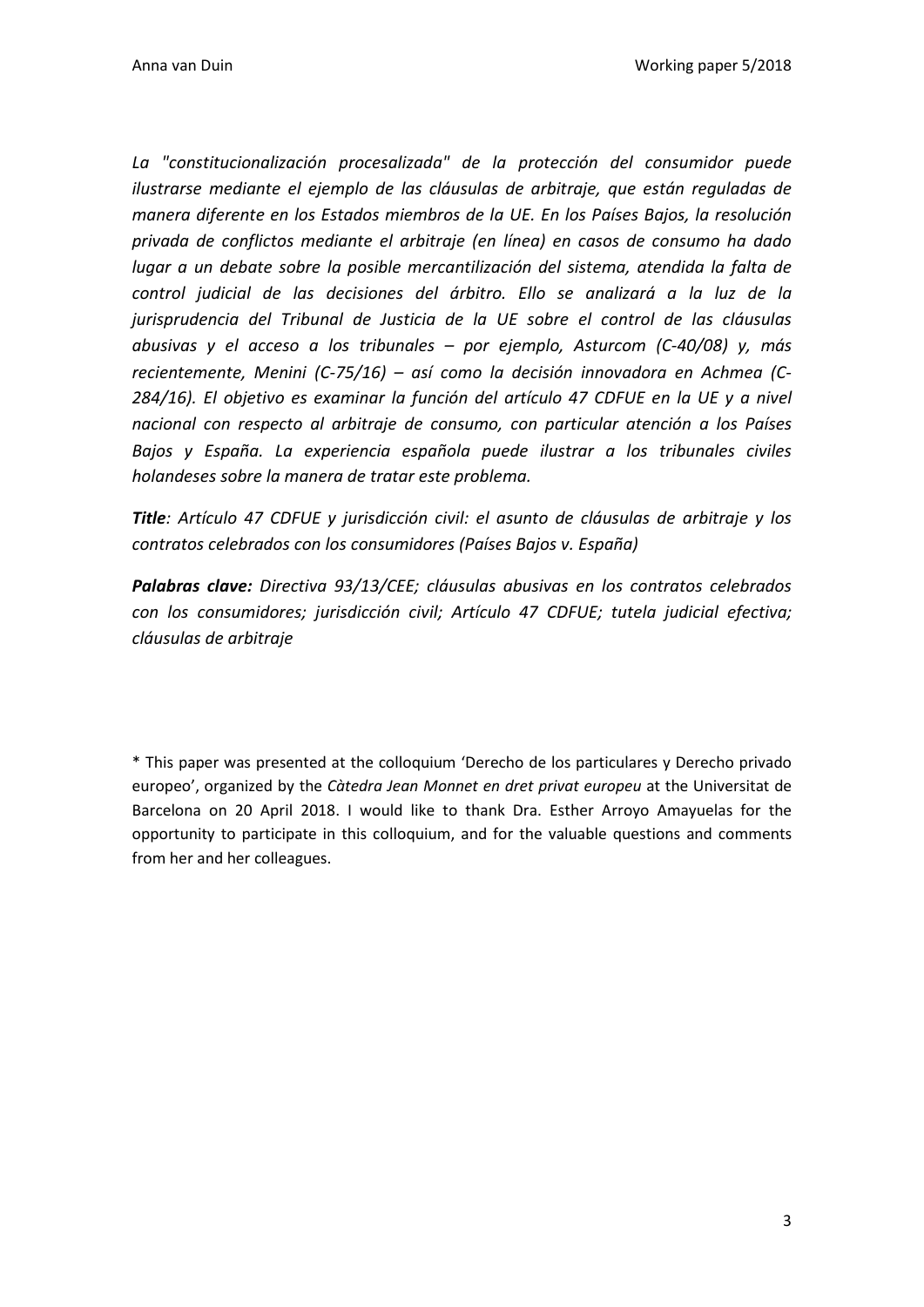*La "constitucionalización procesalizada" de la protección del consumidor puede ilustrarse mediante el ejemplo de las cláusulas de arbitraje, que están reguladas de manera diferente en los Estados miembros de la UE. En los Países Bajos, la resolución privada de conflictos mediante el arbitraje (en línea) en casos de consumo ha dado lugar a un debate sobre la posible mercantilización del sistema, atendida la falta de control judicial de las decisiones del árbitro. Ello se analizará a la luz de la jurisprudencia del Tribunal de Justicia de la UE sobre el control de las cláusulas abusivas y el acceso a los tribunales – por ejemplo, Asturcom (C-40/08) y, más recientemente, Menini (C-75/16) – así como la decisión innovadora en Achmea (C-284/16). El objetivo es examinar la función del artículo 47 CDFUE en la UE y a nivel nacional con respecto al arbitraje de consumo, con particular atención a los Países Bajos y España. La experiencia española puede ilustrar a los tribunales civiles holandeses sobre la manera de tratar este problema.*

*Title: Artículo 47 CDFUE y jurisdicción civil: el asunto de cláusulas de arbitraje y los contratos celebrados con los consumidores (Países Bajos v. España)*

*Palabras clave: Directiva 93/13/CEE; cláusulas abusivas en los contratos celebrados con los consumidores; jurisdicción civil; Artículo 47 CDFUE; tutela judicial efectiva; cláusulas de arbitraje*

\* This paper was presented at the colloquium 'Derecho de los particulares y Derecho privado europeo', organized by the *Càtedra Jean Monnet en dret privat europeu* at the Universitat de Barcelona on 20 April 2018. I would like to thank Dra. Esther Arroyo Amayuelas for the opportunity to participate in this colloquium, and for the valuable questions and comments from her and her colleagues.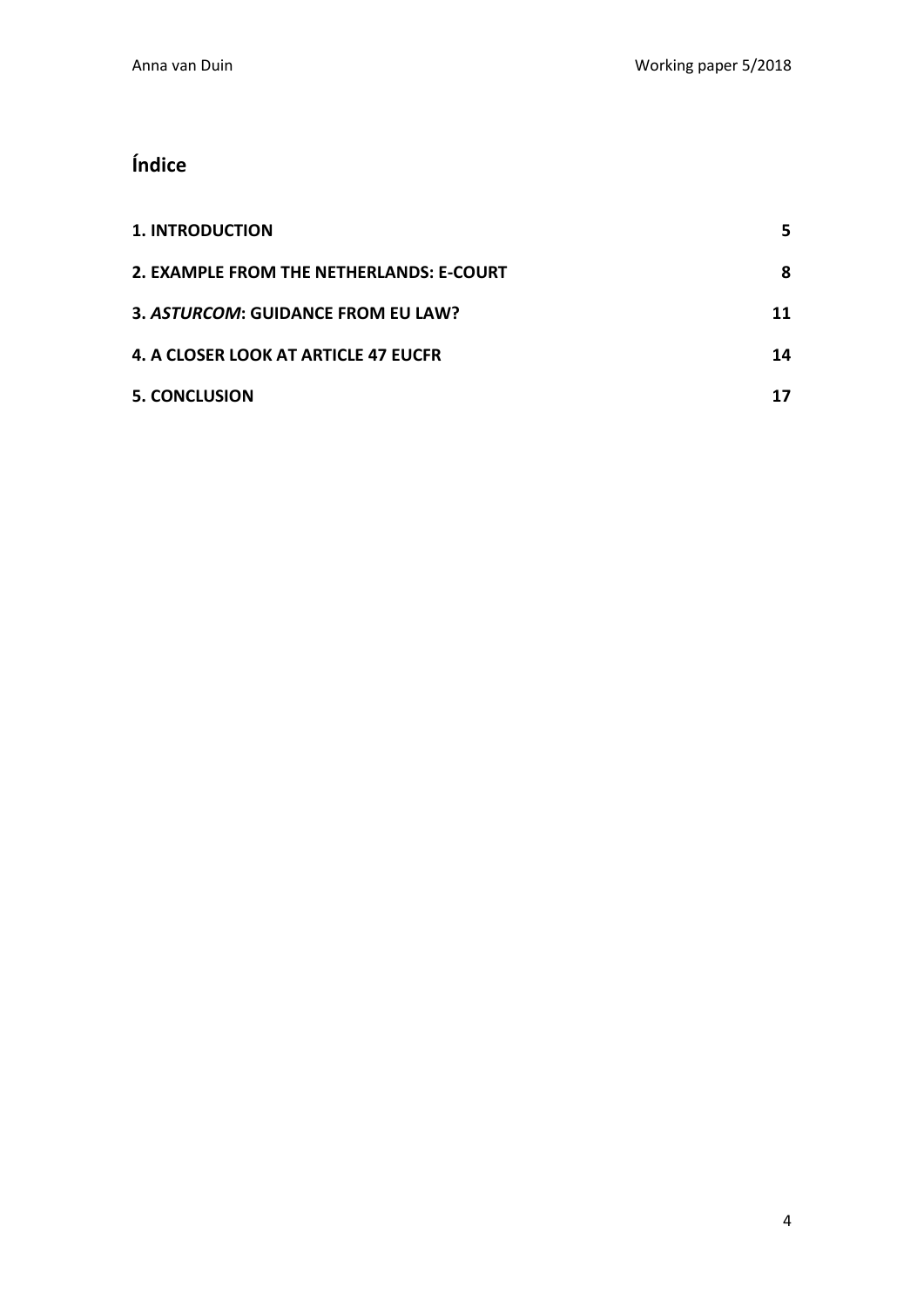## **Índice**

| <b>1. INTRODUCTION</b>                   |    |
|------------------------------------------|----|
| 2. EXAMPLE FROM THE NETHERLANDS: E-COURT | 8  |
| 3. ASTURCOM: GUIDANCE FROM EU LAW?       | 11 |
| 4. A CLOSER LOOK AT ARTICLE 47 EUCFR     | 14 |
| <b>5. CONCLUSION</b>                     |    |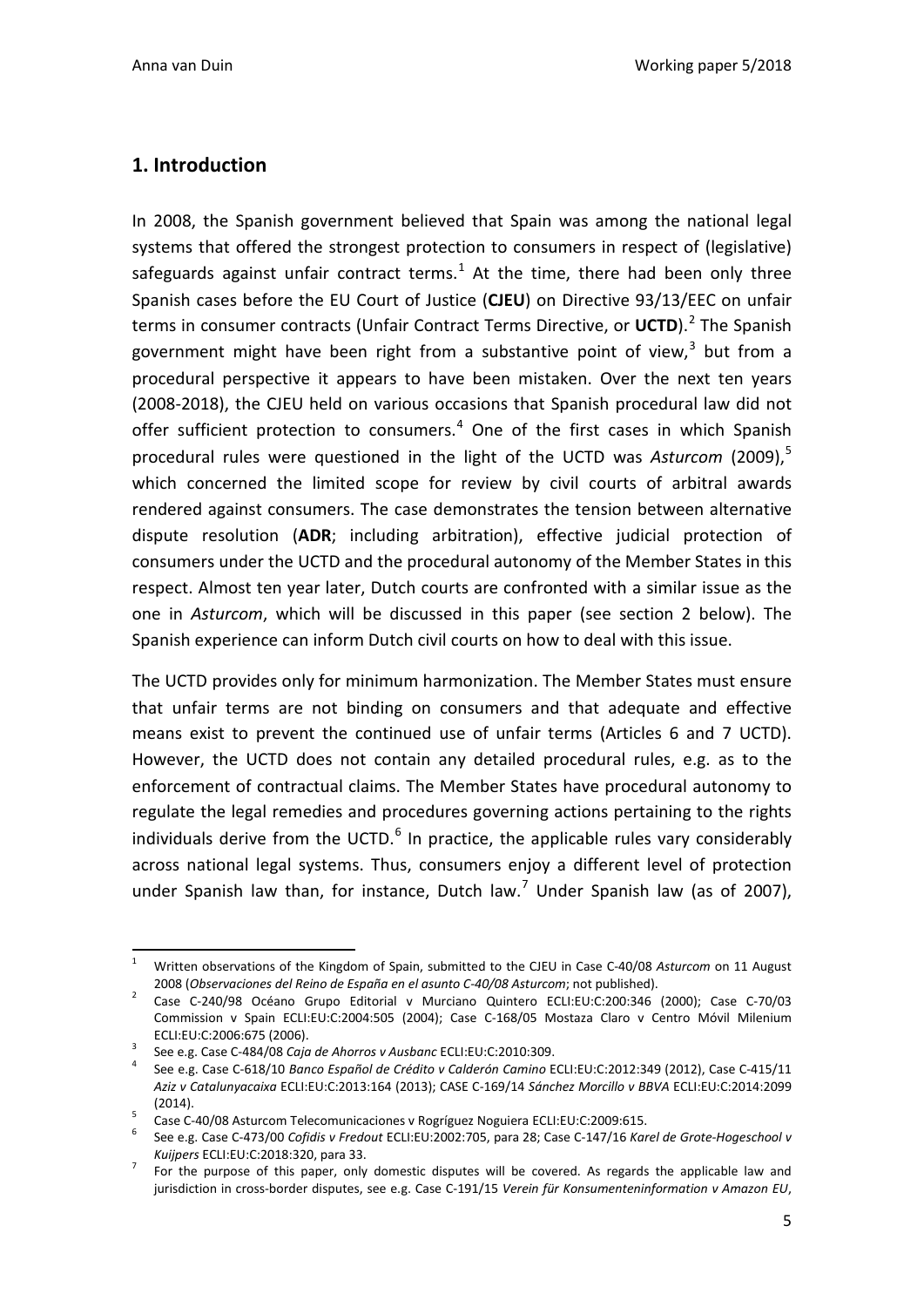### <span id="page-5-0"></span>**1. Introduction**

In 2008, the Spanish government believed that Spain was among the national legal systems that offered the strongest protection to consumers in respect of (legislative) safeguards against unfair contract terms.<sup>[1](#page-5-1)</sup> At the time, there had been only three Spanish cases before the EU Court of Justice (**CJEU**) on Directive 93/13/EEC on unfair terms in consumer contracts (Unfair Contract Terms Directive, or UCTD).<sup>[2](#page-5-2)</sup> The Spanish government might have been right from a substantive point of view,<sup>[3](#page-5-3)</sup> but from a procedural perspective it appears to have been mistaken. Over the next ten years (2008-2018), the CJEU held on various occasions that Spanish procedural law did not offer sufficient protection to consumers.<sup>[4](#page-5-4)</sup> One of the first cases in which Spanish procedural rules were questioned in the light of the UCTD was Asturcom (2009),<sup>[5](#page-5-5)</sup> which concerned the limited scope for review by civil courts of arbitral awards rendered against consumers. The case demonstrates the tension between alternative dispute resolution (**ADR**; including arbitration), effective judicial protection of consumers under the UCTD and the procedural autonomy of the Member States in this respect. Almost ten year later, Dutch courts are confronted with a similar issue as the one in *Asturcom*, which will be discussed in this paper (see section 2 below). The Spanish experience can inform Dutch civil courts on how to deal with this issue.

The UCTD provides only for minimum harmonization. The Member States must ensure that unfair terms are not binding on consumers and that adequate and effective means exist to prevent the continued use of unfair terms (Articles 6 and 7 UCTD). However, the UCTD does not contain any detailed procedural rules, e.g. as to the enforcement of contractual claims. The Member States have procedural autonomy to regulate the legal remedies and procedures governing actions pertaining to the rights individuals derive from the UCTD. $<sup>6</sup>$  $<sup>6</sup>$  $<sup>6</sup>$  In practice, the applicable rules vary considerably</sup> across national legal systems. Thus, consumers enjoy a different level of protection under Spanish law than, for instance, Dutch law.<sup>[7](#page-5-7)</sup> Under Spanish law (as of 2007),

<span id="page-5-1"></span> <sup>1</sup> Written observations of the Kingdom of Spain, submitted to the CJEU in Case C-40/08 *Asturcom* on 11 August

<span id="page-5-2"></span><sup>2008 (</sup>*Observaciones del Reino de España en el asunto C-40/08 Asturcom*; not published). 2 Case C-240/98 Océano Grupo Editorial v Murciano Quintero ECLI:EU:C:200:346 (2000); Case C-70/03 Commission v Spain ECLI:EU:C:2004:505 (2004); Case C-168/05 Mostaza Claro v Centro Móvil Milenium ECLI:EU:C:2006:675 (2006). 3 See e.g. Case C-484/08 *Caja de Ahorros v Ausbanc* ECLI:EU:C:2010:309. <sup>4</sup> See e.g. Case C-618/10 *Banco Español de Crédito v Calderón Camino* ECLI:EU:C:2012:349 (2012), Case C-415/11

<span id="page-5-3"></span>

<span id="page-5-4"></span>*Aziz v Catalunyacaixa* ECLI:EU:C:2013:164 (2013); CASE C-169/14 *Sánchez Morcillo v BBVA* ECLI:EU:C:2014:2099

<span id="page-5-5"></span>

<sup>(2014).&</sup>lt;br>Case C-40/08 Asturcom Telecomunicaciones v Rogríguez Noguiera ECLI:EU:C:2009:615.<br>See e.g. Case C-473/00 *Cofidis v Fredout* ECLI:EU:2002:705, para 28; Case C-147/16 *Karel de Grote-Hogeschool v* 

<span id="page-5-7"></span><span id="page-5-6"></span>*Kuijpers* ECLI:EU:C:2018:320, para 33. 7 For the purpose of this paper, only domestic disputes will be covered. As regards the applicable law and jurisdiction in cross-border disputes, see e.g. Case C-191/15 *Verein für Konsumenteninformation v Amazon EU*,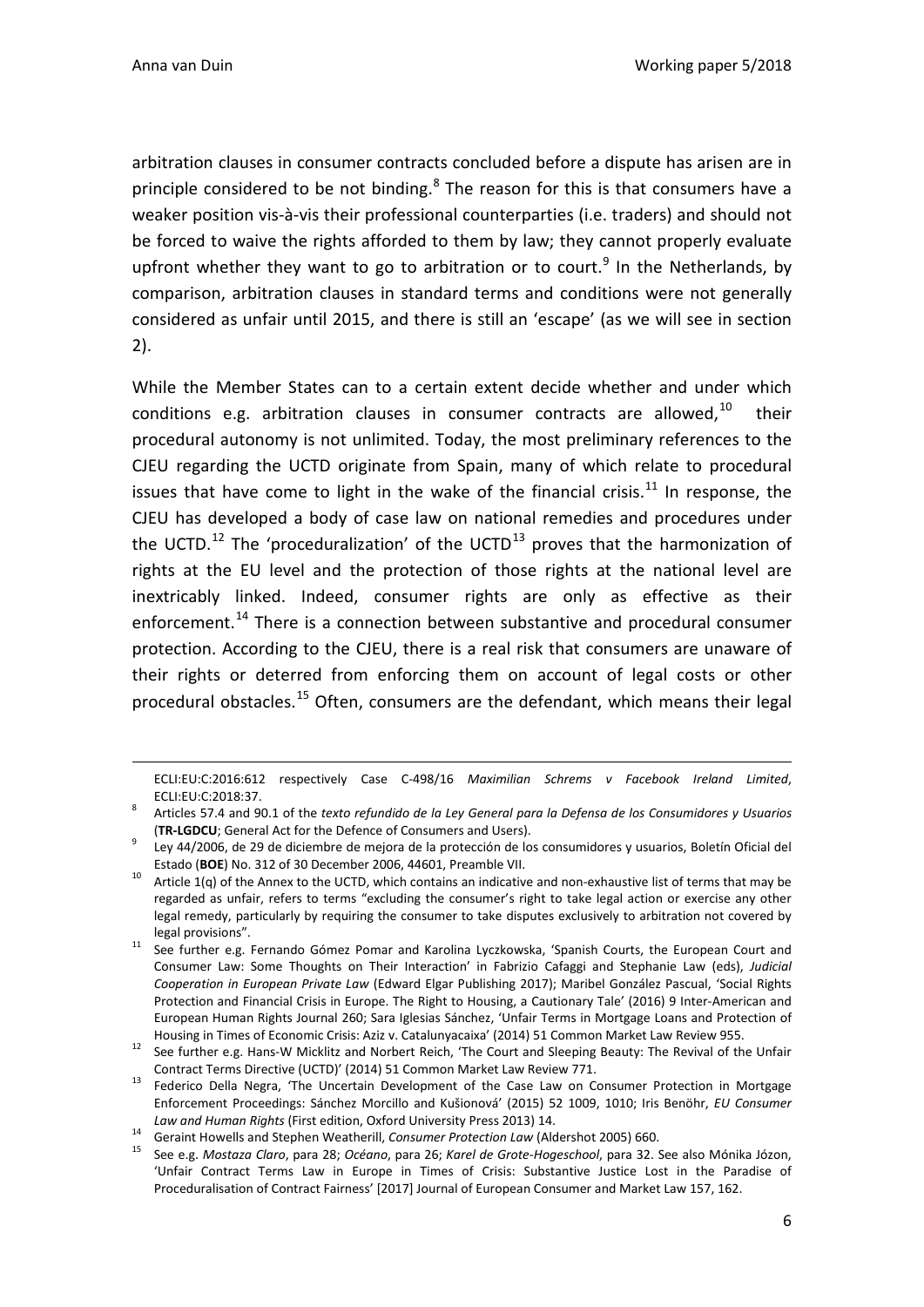$\overline{a}$ 

arbitration clauses in consumer contracts concluded before a dispute has arisen are in principle considered to be not binding.<sup>[8](#page-6-0)</sup> The reason for this is that consumers have a weaker position vis-à-vis their professional counterparties (i.e. traders) and should not be forced to waive the rights afforded to them by law; they cannot properly evaluate upfront whether they want to go to arbitration or to court.<sup>[9](#page-6-1)</sup> In the Netherlands, by comparison, arbitration clauses in standard terms and conditions were not generally considered as unfair until 2015, and there is still an 'escape' (as we will see in section 2).

While the Member States can to a certain extent decide whether and under which conditions e.g. arbitration clauses in consumer contracts are allowed, $10$  their procedural autonomy is not unlimited. Today, the most preliminary references to the CJEU regarding the UCTD originate from Spain, many of which relate to procedural issues that have come to light in the wake of the financial crisis.<sup>[11](#page-6-3)</sup> In response, the CJEU has developed a body of case law on national remedies and procedures under the UCTD.<sup>[12](#page-6-4)</sup> The 'proceduralization' of the UCTD<sup>[13](#page-6-5)</sup> proves that the harmonization of rights at the EU level and the protection of those rights at the national level are inextricably linked. Indeed, consumer rights are only as effective as their enforcement.<sup>[14](#page-6-6)</sup> There is a connection between substantive and procedural consumer protection. According to the CJEU, there is a real risk that consumers are unaware of their rights or deterred from enforcing them on account of legal costs or other procedural obstacles.<sup>[15](#page-6-7)</sup> Often, consumers are the defendant, which means their legal

ECLI:EU:C:2016:612 respectively Case C-498/16 *Maximilian Schrems v Facebook Ireland Limited*, ECLI:EU:C:2018:37. <sup>8</sup> Articles 57.4 and 90.1 of the *texto refundido de la Ley General para la Defensa de los Consumidores y Usuarios*

<span id="page-6-0"></span><sup>(</sup>**TR-LGDCU**; General Act for the Defence of Consumers and Users). 9 Ley 44/2006, de 29 de diciembre de mejora de la protección de los consumidores y usuarios, Boletín Oficial del

<span id="page-6-1"></span>Estado (BOE) No. 312 of 30 December 2006, 44601, Preamble VII.<br>Article 1(q) of the Annex to the UCTD, which contains an indicative and non-exhaustive list of terms that may be

<span id="page-6-2"></span>regarded as unfair, refers to terms "excluding the consumer's right to take legal action or exercise any other legal remedy, particularly by requiring the consumer to take disputes exclusively to arbitration not covered by

<span id="page-6-3"></span>legal provisions".<br><sup>11</sup> See further e.g. Fernando Gómez Pomar and Karolina Lyczkowska, 'Spanish Courts, the European Court and Consumer Law: Some Thoughts on Their Interaction' in Fabrizio Cafaggi and Stephanie Law (eds), *Judicial Cooperation in European Private Law* (Edward Elgar Publishing 2017); Maribel González Pascual, 'Social Rights Protection and Financial Crisis in Europe. The Right to Housing, a Cautionary Tale' (2016) 9 Inter-American and European Human Rights Journal 260; Sara Iglesias Sánchez, 'Unfair Terms in Mortgage Loans and Protection of

<span id="page-6-4"></span>Housing in Times of Economic Crisis: Aziz v. Catalunyacaixa' (2014) 51 Common Market Law Review 955.<br><sup>12</sup> See further e.g. Hans-W Micklitz and Norbert Reich, 'The Court and Sleeping Beauty: The Revival of the Unfair

<span id="page-6-5"></span>Contract Terms Directive (UCTD)' (2014) 51 Common Market Law Review 771.<br><sup>13</sup> Federico Della Negra, 'The Uncertain Development of the Case Law on Consumer Protection in Mortgage Enforcement Proceedings: Sánchez Morcillo and Kušionová' (2015) 52 1009, 1010; Iris Benöhr, *EU Consumer*  Law and Human Rights (First edition, Oxford University Press 2013) 14.<br><sup>14</sup> Geraint Howells and Stephen Weatherill, Consumer Protection Law (Aldershot 2005) 660.<br><sup>15</sup> See e.g. Mostaza Claro, para 28; Océano, para 26; Karel

<span id="page-6-7"></span><span id="page-6-6"></span>

<sup>&#</sup>x27;Unfair Contract Terms Law in Europe in Times of Crisis: Substantive Justice Lost in the Paradise of Proceduralisation of Contract Fairness' [2017] Journal of European Consumer and Market Law 157, 162.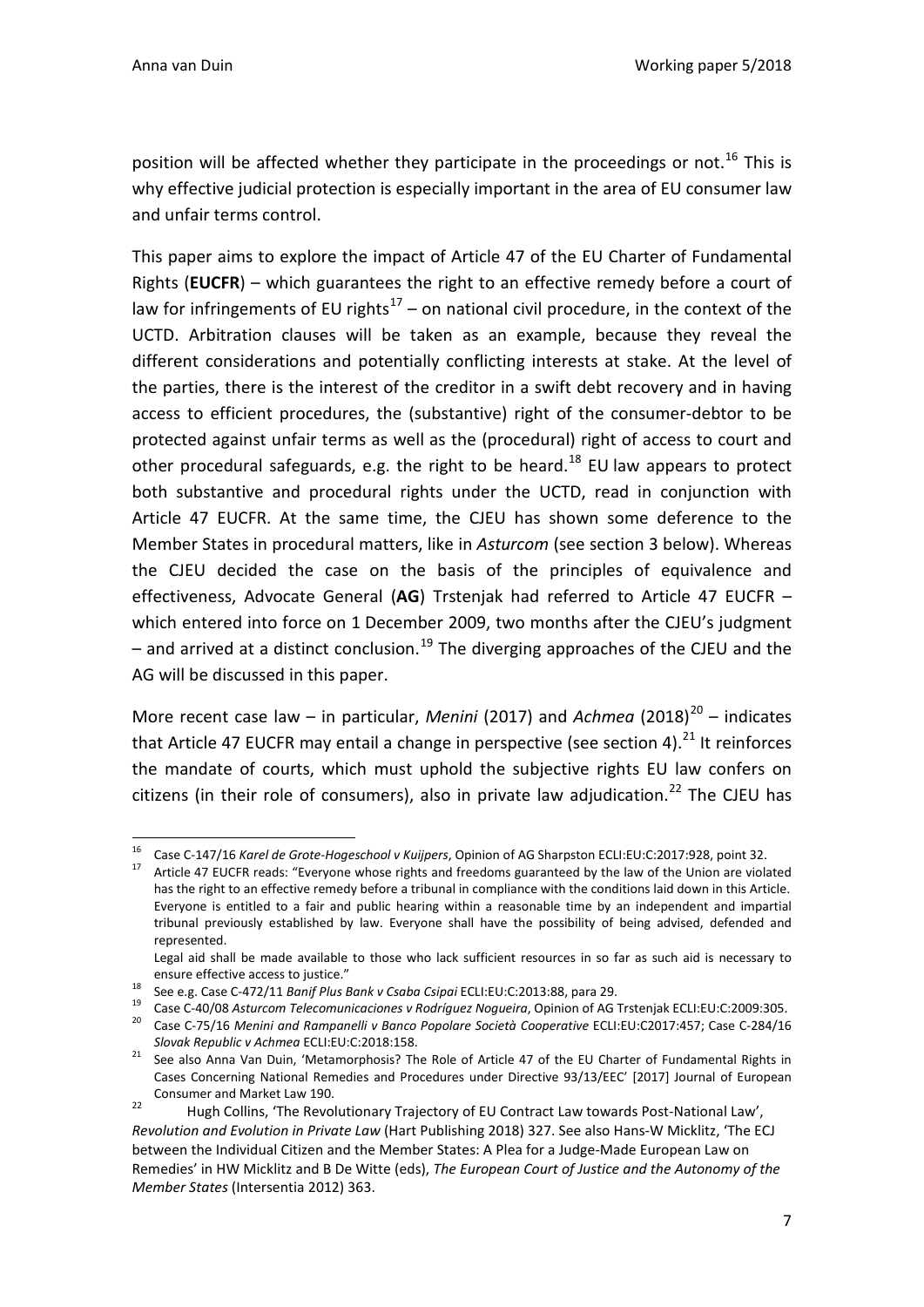position will be affected whether they participate in the proceedings or not.<sup>[16](#page-7-0)</sup> This is why effective judicial protection is especially important in the area of EU consumer law and unfair terms control.

This paper aims to explore the impact of Article 47 of the EU Charter of Fundamental Rights (**EUCFR**) – which guarantees the right to an effective remedy before a court of law for infringements of EU rights<sup>[17](#page-7-1)</sup> – on national civil procedure, in the context of the UCTD. Arbitration clauses will be taken as an example, because they reveal the different considerations and potentially conflicting interests at stake. At the level of the parties, there is the interest of the creditor in a swift debt recovery and in having access to efficient procedures, the (substantive) right of the consumer-debtor to be protected against unfair terms as well as the (procedural) right of access to court and other procedural safeguards, e.g. the right to be heard.<sup>[18](#page-7-2)</sup> EU law appears to protect both substantive and procedural rights under the UCTD, read in conjunction with Article 47 EUCFR. At the same time, the CJEU has shown some deference to the Member States in procedural matters, like in *Asturcom* (see section 3 below). Whereas the CJEU decided the case on the basis of the principles of equivalence and effectiveness, Advocate General (**AG**) Trstenjak had referred to Article 47 EUCFR – which entered into force on 1 December 2009, two months after the CJEU's judgment – and arrived at a distinct conclusion.<sup>[19](#page-7-3)</sup> The diverging approaches of the CJEU and the AG will be discussed in this paper.

More recent case law – in particular, *Menini* ([20](#page-7-4)17) and *Achmea* (2018)<sup>20</sup> – indicates that Article 47 EUCFR may entail a change in perspective (see section 4). $^{21}$  $^{21}$  $^{21}$  It reinforces the mandate of courts, which must uphold the subjective rights EU law confers on citizens (in their role of consumers), also in private law adjudication.<sup>[22](#page-7-6)</sup> The CJEU has

<span id="page-7-1"></span><span id="page-7-0"></span><sup>&</sup>lt;sup>16</sup> Case C-147/16 Karel de Grote-Hogeschool v Kuijpers, Opinion of AG Sharpston ECLI:EU:C:2017:928, point 32.<br><sup>17</sup> Article 47 EUCFR reads: "Everyone whose rights and freedoms guaranteed by the law of the Union are violate

has the right to an effective remedy before a tribunal in compliance with the conditions laid down in this Article. Everyone is entitled to a fair and public hearing within a reasonable time by an independent and impartial tribunal previously established by law. Everyone shall have the possibility of being advised, defended and represented.

Legal aid shall be made available to those who lack sufficient resources in so far as such aid is necessary to

<span id="page-7-2"></span>ensure effective access to justice."<br>
See e.g. Case C-472/11 Banif Plus Bank v Csaba Csipai ECLI:EU:C:2013:88, para 29.<br>
Case C-40/08 Asturcom Telecomunicaciones v Rodríguez Nogueira, Opinion of AG Trstenjak ECLI:EU:C:2009

<span id="page-7-4"></span><span id="page-7-3"></span>*Slovak Republic v Achmea* ECLI:EU:C:2018:158. 21 See also Anna Van Duin, 'Metamorphosis? The Role of Article 47 of the EU Charter of Fundamental Rights in

<span id="page-7-5"></span>Cases Concerning National Remedies and Procedures under Directive 93/13/EEC' [2017] Journal of European

<span id="page-7-6"></span>Consumer and Market Law 190.<br>22 Hugh Collins, 'The Revolutionary Trajectory of EU Contract Law towards Post-National Law', *Revolution and Evolution in Private Law* (Hart Publishing 2018) 327. See also Hans-W Micklitz, 'The ECJ between the Individual Citizen and the Member States: A Plea for a Judge-Made European Law on Remedies' in HW Micklitz and B De Witte (eds), *The European Court of Justice and the Autonomy of the Member States* (Intersentia 2012) 363.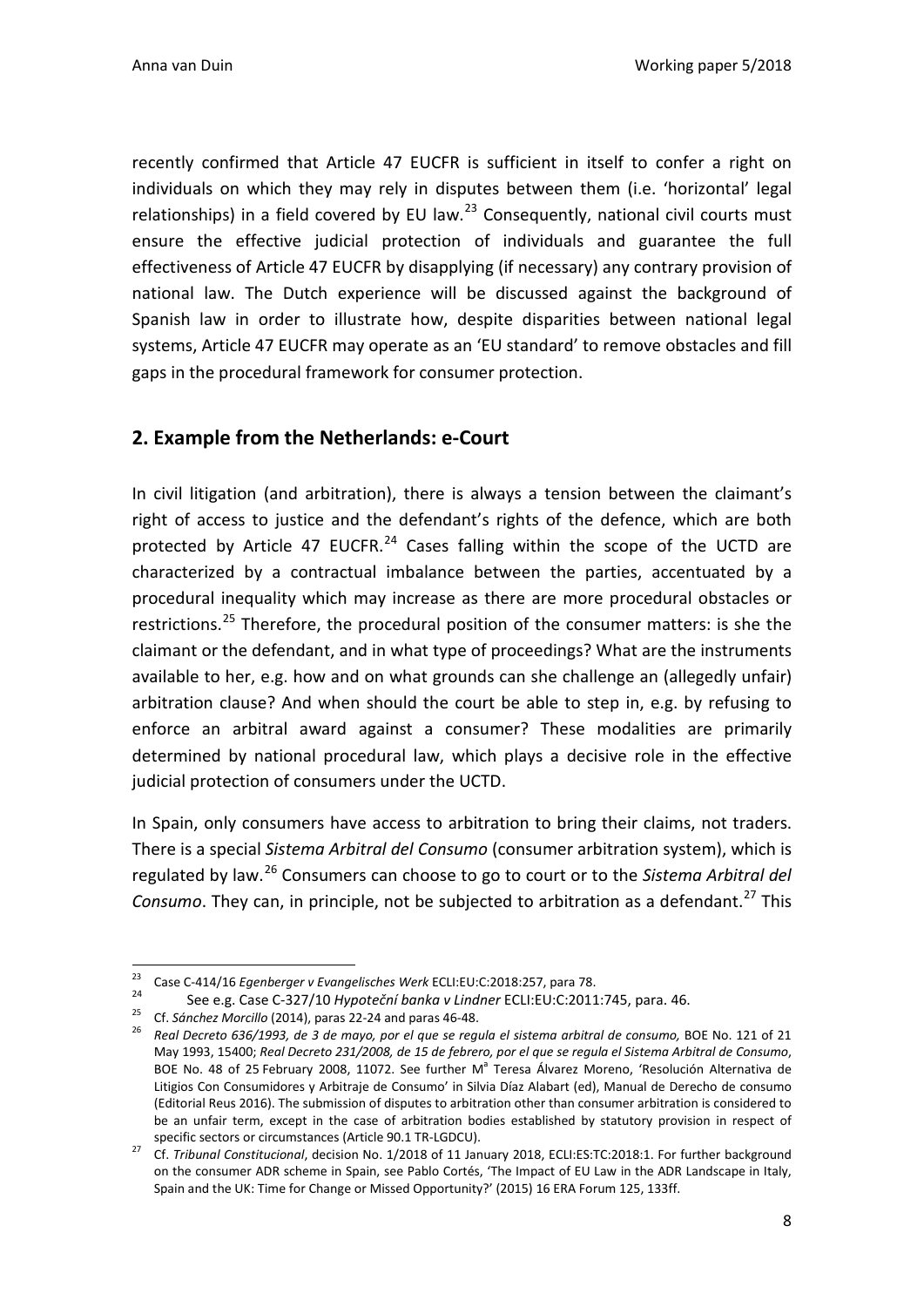recently confirmed that Article 47 EUCFR is sufficient in itself to confer a right on individuals on which they may rely in disputes between them (i.e. 'horizontal' legal relationships) in a field covered by EU law. $^{23}$  $^{23}$  $^{23}$  Consequently, national civil courts must ensure the effective judicial protection of individuals and guarantee the full effectiveness of Article 47 EUCFR by disapplying (if necessary) any contrary provision of national law. The Dutch experience will be discussed against the background of Spanish law in order to illustrate how, despite disparities between national legal systems, Article 47 EUCFR may operate as an 'EU standard' to remove obstacles and fill gaps in the procedural framework for consumer protection.

### <span id="page-8-0"></span>**2. Example from the Netherlands: e-Court**

In civil litigation (and arbitration), there is always a tension between the claimant's right of access to justice and the defendant's rights of the defence, which are both protected by Article 47 EUCFR.<sup>[24](#page-8-2)</sup> Cases falling within the scope of the UCTD are characterized by a contractual imbalance between the parties, accentuated by a procedural inequality which may increase as there are more procedural obstacles or restrictions.<sup>[25](#page-8-3)</sup> Therefore, the procedural position of the consumer matters: is she the claimant or the defendant, and in what type of proceedings? What are the instruments available to her, e.g. how and on what grounds can she challenge an (allegedly unfair) arbitration clause? And when should the court be able to step in, e.g. by refusing to enforce an arbitral award against a consumer? These modalities are primarily determined by national procedural law, which plays a decisive role in the effective judicial protection of consumers under the UCTD.

In Spain, only consumers have access to arbitration to bring their claims, not traders. There is a special *Sistema Arbitral del Consumo* (consumer arbitration system), which is regulated by law.[26](#page-8-4) Consumers can choose to go to court or to the *Sistema Arbitral del Consumo*. They can, in principle, not be subjected to arbitration as a defendant.<sup>[27](#page-8-5)</sup> This

<span id="page-8-4"></span><span id="page-8-3"></span><span id="page-8-2"></span>

<span id="page-8-1"></span><sup>&</sup>lt;sup>23</sup> Case C-414/16 *Egenberger v Evangelisches Werk ECLI*:EU:C:2018:257, para 78.<br>
24 See e.g. Case C-327/10 *Hypoteční banka v Lindner ECLI*:EU:C:2011:745, para. 46.<br>
25 Cf. Sánchez Morcillo (2014), paras 22-24 and paras May 1993, 15400; *Real Decreto 231/2008, de 15 de febrero, por el que se regula el Sistema Arbitral de Consumo*, BOE No. 48 of 25 February 2008, 11072. See further M<sup>a</sup> Teresa Álvarez Moreno, 'Resolución Alternativa de Litigios Con Consumidores y Arbitraje de Consumo' in Silvia Díaz Alabart (ed), Manual de Derecho de consumo (Editorial Reus 2016). The submission of disputes to arbitration other than consumer arbitration is considered to be an unfair term, except in the case of arbitration bodies established by statutory provision in respect of

<span id="page-8-5"></span>specific sectors or circumstances (Article 90.1 TR-LGDCU). <sup>27</sup> Cf. *Tribunal Constitucional*, decision No. 1/2018 of 11 January 2018, ECLI:ES:TC:2018:1. For further background on the consumer ADR scheme in Spain, see Pablo Cortés, 'The Impact of EU Law in the ADR Landscape in Italy, Spain and the UK: Time for Change or Missed Opportunity?' (2015) 16 ERA Forum 125, 133ff.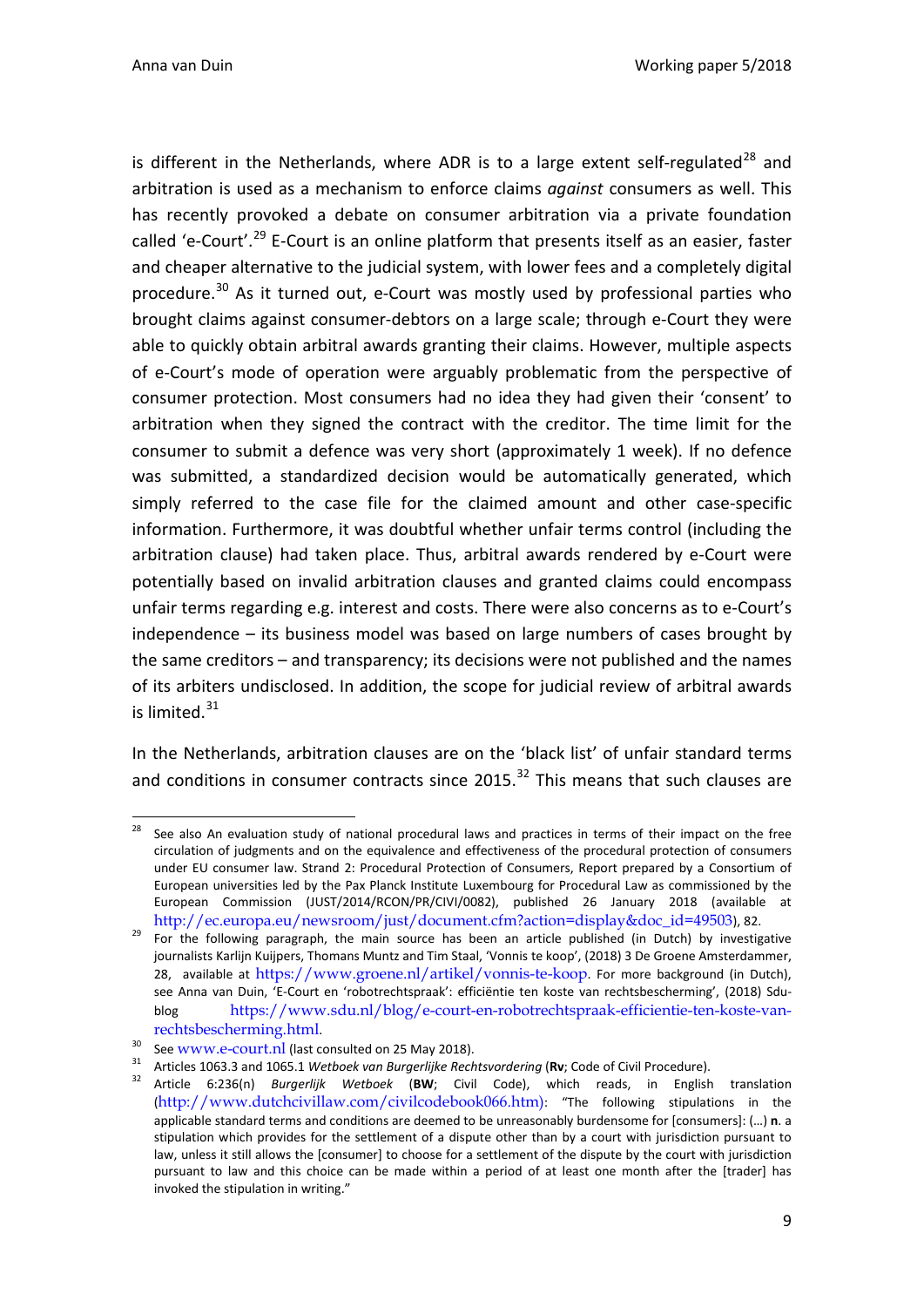Anna van Duin Working paper 5/2018

is different in the Netherlands, where ADR is to a large extent self-regulated<sup>[28](#page-9-0)</sup> and arbitration is used as a mechanism to enforce claims *against* consumers as well. This has recently provoked a debate on consumer arbitration via a private foundation called 'e-Court'.<sup>[29](#page-9-1)</sup> E-Court is an online platform that presents itself as an easier, faster and cheaper alternative to the judicial system, with lower fees and a completely digital procedure.<sup>[30](#page-9-2)</sup> As it turned out, e-Court was mostly used by professional parties who brought claims against consumer-debtors on a large scale; through e-Court they were able to quickly obtain arbitral awards granting their claims. However, multiple aspects of e-Court's mode of operation were arguably problematic from the perspective of consumer protection. Most consumers had no idea they had given their 'consent' to arbitration when they signed the contract with the creditor. The time limit for the consumer to submit a defence was very short (approximately 1 week). If no defence was submitted, a standardized decision would be automatically generated, which simply referred to the case file for the claimed amount and other case-specific information. Furthermore, it was doubtful whether unfair terms control (including the arbitration clause) had taken place. Thus, arbitral awards rendered by e-Court were potentially based on invalid arbitration clauses and granted claims could encompass unfair terms regarding e.g. interest and costs. There were also concerns as to e-Court's independence – its business model was based on large numbers of cases brought by the same creditors – and transparency; its decisions were not published and the names of its arbiters undisclosed. In addition, the scope for judicial review of arbitral awards is limited. $31$ 

In the Netherlands, arbitration clauses are on the 'black list' of unfair standard terms and conditions in consumer contracts since  $2015$ .<sup>[32](#page-9-4)</sup> This means that such clauses are

<span id="page-9-0"></span>See also An evaluation study of national procedural laws and practices in terms of their impact on the free circulation of judgments and on the equivalence and effectiveness of the procedural protection of consumers under EU consumer law. Strand 2: Procedural Protection of Consumers, Report prepared by a Consortium of European universities led by the Pax Planck Institute Luxembourg for Procedural Law as commissioned by the European Commission (JUST/2014/RCON/PR/CIVI/0082), published 26 January 2018 (available at

<span id="page-9-1"></span>[http://ec.europa.eu/newsroom/just/document.cfm?action=display&doc\\_id=49503](http://ec.europa.eu/newsroom/just/document.cfm?action=display&doc_id=49503)), 82. For the following paragraph, the main source has been an article published (in Dutch) by investigative journalists Karlijn Kuijpers, Thomans Muntz and Tim Staal, 'Vonnis te koop', (2018) 3 De Groene Amsterdammer, 28, available at <https://www.groene.nl/artikel/vonnis-te-koop>. For more background (in Dutch), see Anna van Duin, 'E-Court en 'robotrechtspraak': efficiëntie ten koste van rechtsbescherming', (2018) Sdublog [https://www.sdu.nl/blog/e-court-en-robotrechtspraak-efficientie-ten-koste-van-](https://www.sdu.nl/blog/e-court-en-robotrechtspraak-efficientie-ten-koste-van-rechtsbescherming.html)

<span id="page-9-4"></span><span id="page-9-3"></span>

<span id="page-9-2"></span>rechtsbescherming.html.<br>
<sup>30</sup> See www.e-court.nl [\(](http://www.e-court.nl/)last consulted on 25 May 2018).<br>
<sup>31</sup> Articles 1063.3 and 1065.1 Wetboek van Burgerlijke Rechtsvordering (**Rv**; Code of Civil Procedure).<br>
<sup>32</sup> Article 6:236(n) Burgerlijk

<sup>(</sup>[http://www.dutchcivillaw.com/civilcodebook066.htm\)](http://www.dutchcivillaw.com/civilcodebook066.htm)): "The following stipulations in the applicable standard terms and conditions are deemed to be unreasonably burdensome for [consumers]: (…) **n**. a stipulation which provides for the settlement of a dispute other than by a court with jurisdiction pursuant to law, unless it still allows the [consumer] to choose for a settlement of the dispute by the court with jurisdiction pursuant to law and this choice can be made within a period of at least one month after the [trader] has invoked the stipulation in writing."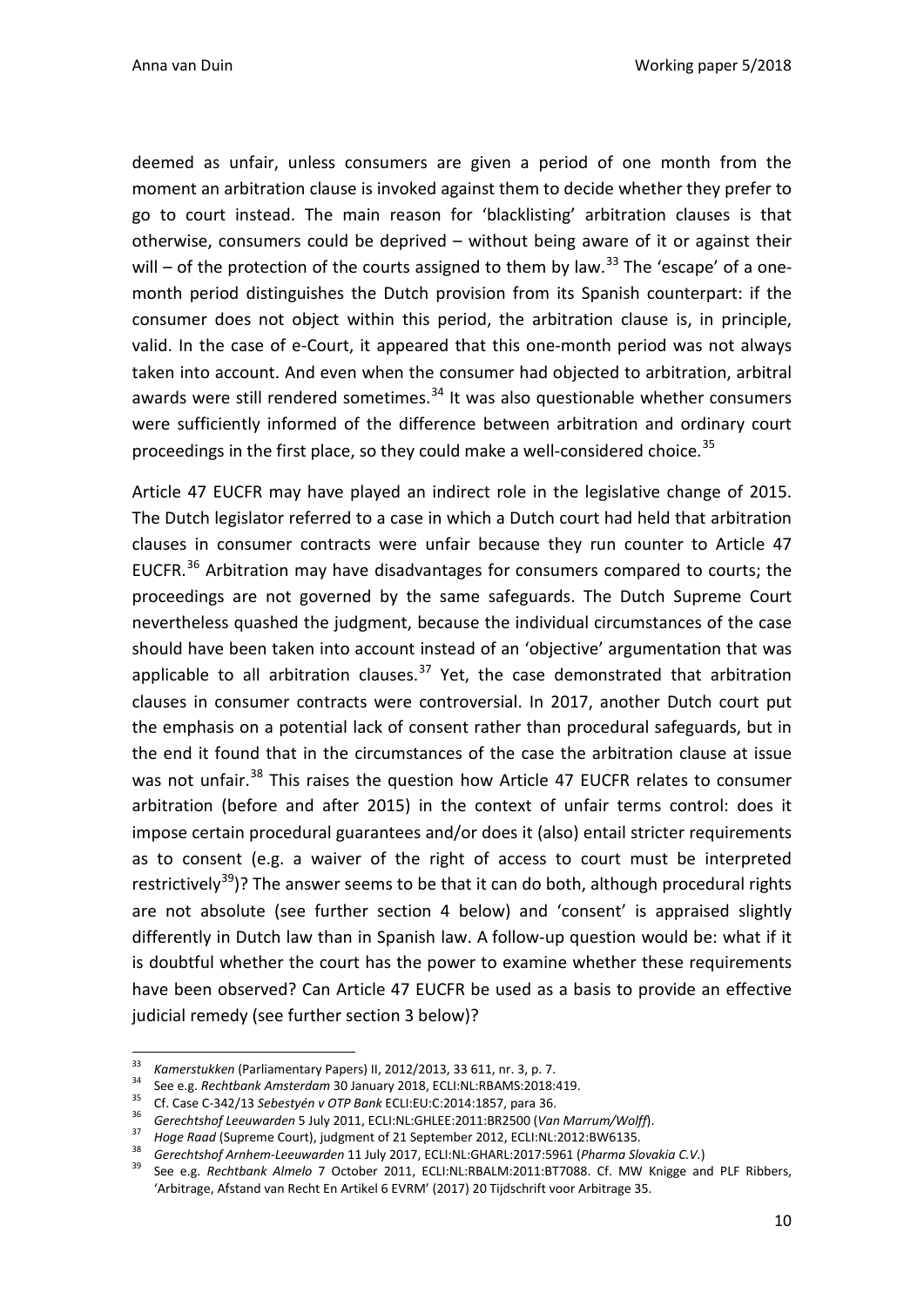deemed as unfair, unless consumers are given a period of one month from the moment an arbitration clause is invoked against them to decide whether they prefer to go to court instead. The main reason for 'blacklisting' arbitration clauses is that otherwise, consumers could be deprived – without being aware of it or against their will – of the protection of the courts assigned to them by law.<sup>[33](#page-10-0)</sup> The 'escape' of a onemonth period distinguishes the Dutch provision from its Spanish counterpart: if the consumer does not object within this period, the arbitration clause is, in principle, valid. In the case of e-Court, it appeared that this one-month period was not always taken into account. And even when the consumer had objected to arbitration, arbitral awards were still rendered sometimes. $34$  It was also questionable whether consumers were sufficiently informed of the difference between arbitration and ordinary court proceedings in the first place, so they could make a well-considered choice.<sup>[35](#page-10-2)</sup>

Article 47 EUCFR may have played an indirect role in the legislative change of 2015. The Dutch legislator referred to a case in which a Dutch court had held that arbitration clauses in consumer contracts were unfair because they run counter to Article 47 EUCFR. $^{36}$  $^{36}$  $^{36}$  Arbitration may have disadvantages for consumers compared to courts; the proceedings are not governed by the same safeguards. The Dutch Supreme Court nevertheless quashed the judgment, because the individual circumstances of the case should have been taken into account instead of an 'objective' argumentation that was applicable to all arbitration clauses.<sup>[37](#page-10-4)</sup> Yet, the case demonstrated that arbitration clauses in consumer contracts were controversial. In 2017, another Dutch court put the emphasis on a potential lack of consent rather than procedural safeguards, but in the end it found that in the circumstances of the case the arbitration clause at issue was not unfair.<sup>[38](#page-10-5)</sup> This raises the question how Article 47 EUCFR relates to consumer arbitration (before and after 2015) in the context of unfair terms control: does it impose certain procedural guarantees and/or does it (also) entail stricter requirements as to consent (e.g. a waiver of the right of access to court must be interpreted restrictively<sup>39</sup>)? The answer seems to be that it can do both, although procedural rights are not absolute (see further section 4 below) and 'consent' is appraised slightly differently in Dutch law than in Spanish law. A follow-up question would be: what if it is doubtful whether the court has the power to examine whether these requirements have been observed? Can Article 47 EUCFR be used as a basis to provide an effective judicial remedy (see further section 3 below)?

<span id="page-10-3"></span><span id="page-10-2"></span>

<span id="page-10-6"></span><span id="page-10-5"></span><span id="page-10-4"></span>

<span id="page-10-1"></span><span id="page-10-0"></span><sup>&</sup>lt;sup>33</sup><br> *Kamerstukken* (Parliamentary Papers) II, 2012/2013, 33 611, nr. 3, p. 7.<br>
See e.g. *Rechtbank Amsterdam* 30 January 2018, ECLI:NL:RBAMS:2018:419.<br> **35** Cf. Case C-342/13 Sebestyén v OTP Bank ECLI:EU:C:2014:1857, pa 'Arbitrage, Afstand van Recht En Artikel 6 EVRM' (2017) 20 Tijdschrift voor Arbitrage 35.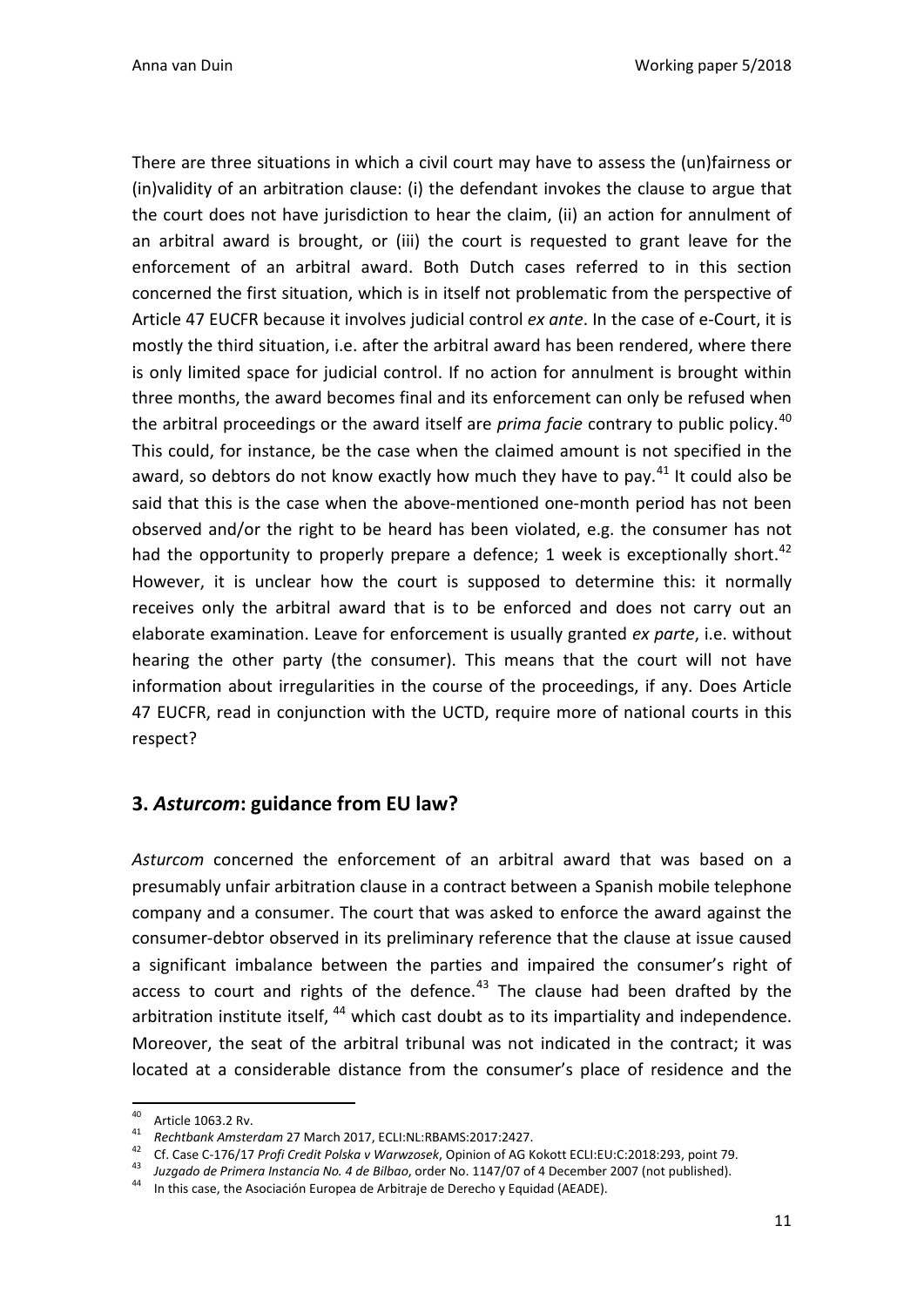There are three situations in which a civil court may have to assess the (un)fairness or (in)validity of an arbitration clause: (i) the defendant invokes the clause to argue that the court does not have jurisdiction to hear the claim, (ii) an action for annulment of an arbitral award is brought, or (iii) the court is requested to grant leave for the enforcement of an arbitral award. Both Dutch cases referred to in this section concerned the first situation, which is in itself not problematic from the perspective of Article 47 EUCFR because it involves judicial control *ex ante*. In the case of e-Court, it is mostly the third situation, i.e. after the arbitral award has been rendered, where there is only limited space for judicial control. If no action for annulment is brought within three months, the award becomes final and its enforcement can only be refused when the arbitral proceedings or the award itself are *prima facie* contrary to public policy.[40](#page-11-1) This could, for instance, be the case when the claimed amount is not specified in the award, so debtors do not know exactly how much they have to pay. $41$  It could also be said that this is the case when the above-mentioned one-month period has not been observed and/or the right to be heard has been violated, e.g. the consumer has not had the opportunity to properly prepare a defence; 1 week is exceptionally short.<sup>[42](#page-11-3)</sup> However, it is unclear how the court is supposed to determine this: it normally receives only the arbitral award that is to be enforced and does not carry out an elaborate examination. Leave for enforcement is usually granted *ex parte*, i.e. without hearing the other party (the consumer). This means that the court will not have information about irregularities in the course of the proceedings, if any. Does Article 47 EUCFR, read in conjunction with the UCTD, require more of national courts in this respect?

#### <span id="page-11-0"></span>**3.** *Asturcom***: guidance from EU law?**

*Asturcom* concerned the enforcement of an arbitral award that was based on a presumably unfair arbitration clause in a contract between a Spanish mobile telephone company and a consumer. The court that was asked to enforce the award against the consumer-debtor observed in its preliminary reference that the clause at issue caused a significant imbalance between the parties and impaired the consumer's right of access to court and rights of the defence.<sup>[43](#page-11-4)</sup> The clause had been drafted by the arbitration institute itself,  $44$  which cast doubt as to its impartiality and independence. Moreover, the seat of the arbitral tribunal was not indicated in the contract; it was located at a considerable distance from the consumer's place of residence and the

<span id="page-11-2"></span>

<span id="page-11-1"></span><sup>40&</sup>lt;br>
Article 1063.2 Rv.<br> *Rechtbank Amsterdam* 27 March 2017, ECLI:NL:RBAMS:2017:2427.<br> *Cf.* Case C-176/17 *Profi Credit Polska v Warwzosek*, Opinion of AG Kokott ECLI:EU:C:2018:293, point 79.<br> *Ha Juzgado de Primera Inst* 

<span id="page-11-5"></span><span id="page-11-4"></span><span id="page-11-3"></span>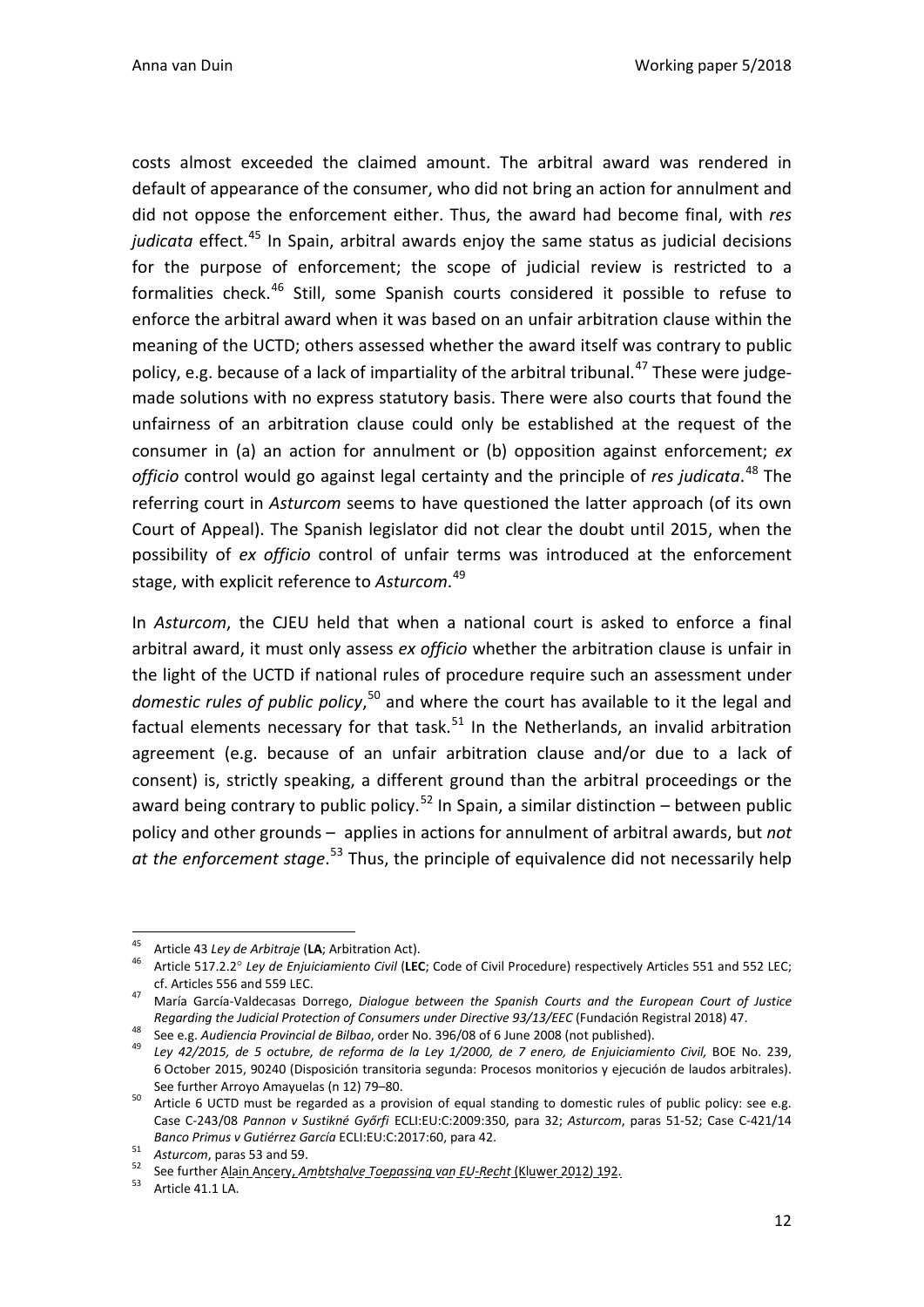costs almost exceeded the claimed amount. The arbitral award was rendered in default of appearance of the consumer, who did not bring an action for annulment and did not oppose the enforcement either. Thus, the award had become final, with *res judicata* effect. [45](#page-12-0) In Spain, arbitral awards enjoy the same status as judicial decisions for the purpose of enforcement; the scope of judicial review is restricted to a formalities check.<sup>[46](#page-12-1)</sup> Still, some Spanish courts considered it possible to refuse to enforce the arbitral award when it was based on an unfair arbitration clause within the meaning of the UCTD; others assessed whether the award itself was contrary to public policy, e.g. because of a lack of impartiality of the arbitral tribunal.<sup>[47](#page-12-2)</sup> These were judgemade solutions with no express statutory basis. There were also courts that found the unfairness of an arbitration clause could only be established at the request of the consumer in (a) an action for annulment or (b) opposition against enforcement; *ex officio* control would go against legal certainty and the principle of *res judicata*. [48](#page-12-3) The referring court in *Asturcom* seems to have questioned the latter approach (of its own Court of Appeal). The Spanish legislator did not clear the doubt until 2015, when the possibility of *ex officio* control of unfair terms was introduced at the enforcement stage, with explicit reference to *Asturcom*. [49](#page-12-4)

In *Asturcom*, the CJEU held that when a national court is asked to enforce a final arbitral award, it must only assess *ex officio* whether the arbitration clause is unfair in the light of the UCTD if national rules of procedure require such an assessment under domestic rules of public policy,<sup>[50](#page-12-5)</sup> and where the court has available to it the legal and factual elements necessary for that task.<sup>[51](#page-12-6)</sup> In the Netherlands, an invalid arbitration agreement (e.g. because of an unfair arbitration clause and/or due to a lack of consent) is, strictly speaking, a different ground than the arbitral proceedings or the award being contrary to public policy.<sup>[52](#page-12-7)</sup> In Spain, a similar distinction – between public policy and other grounds – applies in actions for annulment of arbitral awards, but *not at the enforcement stage*. [53](#page-12-8) Thus, the principle of equivalence did not necessarily help

<span id="page-12-1"></span><span id="page-12-0"></span><sup>&</sup>lt;sup>45</sup> Article 43 *Ley de Arbitraje* (LA; Arbitration Act).<br><sup>46</sup> Article 517.2.2° *Ley de Enjuiciamiento Civil* (LEC; Code of Civil Procedure) respectively Articles 551 and 552 LEC; cf. Articles 556 and 559 LEC. <sup>47</sup> María García-Valdecasas Dorrego, *Dialogue between the Spanish Courts and the European Court of Justice* 

<span id="page-12-2"></span>Regarding the Judicial Protection of Consumers under Directive 93/13/EEC (Fundación Registral 2018) 47.<br><sup>48</sup> See e.g. Audiencia Provincial de Bilbao, order No. 396/08 of 6 June 2008 (not published).<br><sup>49</sup> Ley 42/2015, de 5

<span id="page-12-3"></span>

<span id="page-12-4"></span><sup>6</sup> October 2015, 90240 (Disposición transitoria segunda: Procesos monitorios y ejecución de laudos arbitrales).

<span id="page-12-5"></span>See further Arroyo Amayuelas (n 12) 79–80.<br>50 Article 6 UCTD must be regarded as a provision of equal standing to domestic rules of public policy: see e.g. Case C-243/08 *Pannon v Sustikné Győrfi* ECLI:EU:C:2009:350, para 32; *Asturcom*, paras 51-52; Case C-421/14

<span id="page-12-7"></span>

<span id="page-12-6"></span>*Banco Primus v Gutiérrez García* ECLI:EU:C:2017:60, para 42.<br><sup>51</sup> *Asturcom*, paras 53 and 59.<br><sup>52</sup> See further <u>Alain Ancery, *Ambtshalve Toepassing van EU-Recht* (Kluwer 2012) 192.</u><br><sup>53</sup> Article 41.1 LA.

<span id="page-12-8"></span>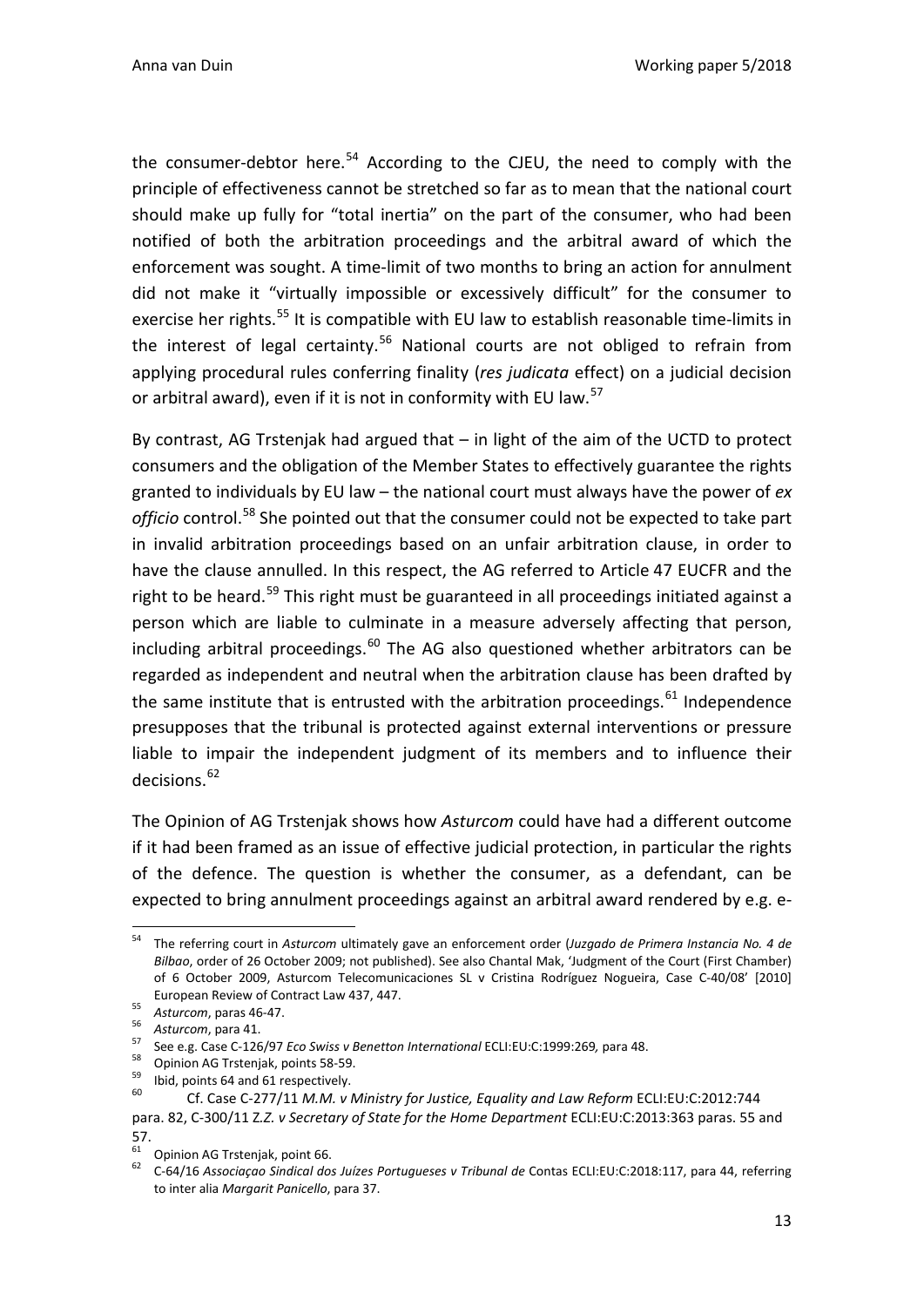the consumer-debtor here.<sup>[54](#page-13-0)</sup> According to the CJEU, the need to comply with the principle of effectiveness cannot be stretched so far as to mean that the national court should make up fully for "total inertia" on the part of the consumer, who had been notified of both the arbitration proceedings and the arbitral award of which the enforcement was sought. A time-limit of two months to bring an action for annulment did not make it "virtually impossible or excessively difficult" for the consumer to exercise her rights.<sup>[55](#page-13-1)</sup> It is compatible with EU law to establish reasonable time-limits in the interest of legal certainty.<sup>[56](#page-13-2)</sup> National courts are not obliged to refrain from applying procedural rules conferring finality (*res judicata* effect) on a judicial decision or arbitral award), even if it is not in conformity with EU law.<sup>[57](#page-13-3)</sup>

By contrast, AG Trstenjak had argued that – in light of the aim of the UCTD to protect consumers and the obligation of the Member States to effectively guarantee the rights granted to individuals by EU law – the national court must always have the power of *ex officio* control.[58](#page-13-4) She pointed out that the consumer could not be expected to take part in invalid arbitration proceedings based on an unfair arbitration clause, in order to have the clause annulled. In this respect, the AG referred to Article 47 EUCFR and the right to be heard.<sup>[59](#page-13-5)</sup> This right must be guaranteed in all proceedings initiated against a person which are liable to culminate in a measure adversely affecting that person, including arbitral proceedings. $60$  The AG also questioned whether arbitrators can be regarded as independent and neutral when the arbitration clause has been drafted by the same institute that is entrusted with the arbitration proceedings. $61$  Independence presupposes that the tribunal is protected against external interventions or pressure liable to impair the independent judgment of its members and to influence their decisions.<sup>[62](#page-13-8)</sup>

The Opinion of AG Trstenjak shows how *Asturcom* could have had a different outcome if it had been framed as an issue of effective judicial protection, in particular the rights of the defence. The question is whether the consumer, as a defendant, can be expected to bring annulment proceedings against an arbitral award rendered by e.g. e-

<span id="page-13-0"></span> <sup>54</sup> The referring court in *Asturcom* ultimately gave an enforcement order (*Juzgado de Primera Instancia No. 4 de Bilbao*, order of 26 October 2009; not published). See also Chantal Mak, 'Judgment of the Court (First Chamber) of 6 October 2009, Asturcom Telecomunicaciones SL v Cristina Rodríguez Nogueira, Case C-40/08' [2010] European Review of Contract Law 437, 447.<br>
55 Asturcom, para 46-47.<br>
56 Asturcom, para 41.<br>
57 See e.g. Case C-126/97 *Eco Swiss v Benetton International* ECLI:EU:C:1999:269, para 48.<br>
58 Opinion AG Trstenjak, points 58-5

<span id="page-13-1"></span>

<span id="page-13-2"></span>

<span id="page-13-5"></span><span id="page-13-4"></span><span id="page-13-3"></span>

<span id="page-13-6"></span>para. 82, C-300/11 Z*.Z. v Secretary of State for the Home Department* ECLI:EU:C:2013:363 paras. 55 and

<sup>57.&</sup>lt;br><sup>61</sup> Opinion AG Trstenjak, point 66.

<span id="page-13-8"></span><span id="page-13-7"></span><sup>61</sup> Opinion AG Trstenjak, point 66. 62 C-64/16 *Associaçao Sindical dos Juízes Portugueses v Tribunal de* Contas ECLI:EU:C:2018:117, para 44, referring to inter alia *Margarit Panicello*, para 37.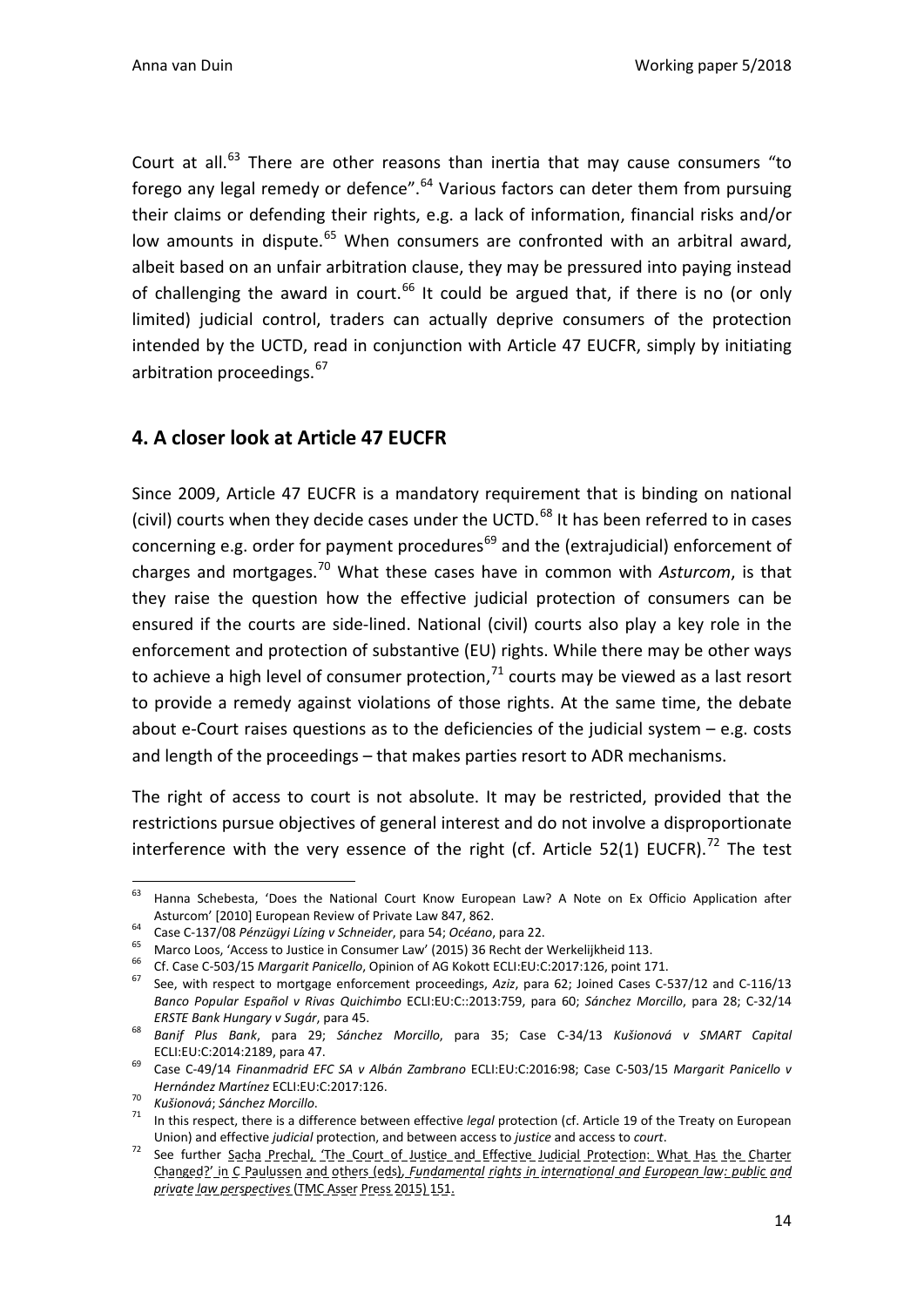Court at all. $^{63}$  $^{63}$  $^{63}$  There are other reasons than inertia that may cause consumers "to forego any legal remedy or defence".<sup>[64](#page-14-2)</sup> Various factors can deter them from pursuing their claims or defending their rights, e.g. a lack of information, financial risks and/or low amounts in dispute.<sup>[65](#page-14-3)</sup> When consumers are confronted with an arbitral award, albeit based on an unfair arbitration clause, they may be pressured into paying instead of challenging the award in court. $^{66}$  $^{66}$  $^{66}$  It could be argued that, if there is no (or only limited) judicial control, traders can actually deprive consumers of the protection intended by the UCTD, read in conjunction with Article 47 EUCFR, simply by initiating arbitration proceedings.<sup>[67](#page-14-5)</sup>

### <span id="page-14-0"></span>**4. A closer look at Article 47 EUCFR**

Since 2009, Article 47 EUCFR is a mandatory requirement that is binding on national (civil) courts when they decide cases under the UCTD.<sup>[68](#page-14-6)</sup> It has been referred to in cases concerning e.g. order for payment procedures<sup>[69](#page-14-7)</sup> and the (extrajudicial) enforcement of charges and mortgages.[70](#page-14-8) What these cases have in common with *Asturcom*, is that they raise the question how the effective judicial protection of consumers can be ensured if the courts are side-lined. National (civil) courts also play a key role in the enforcement and protection of substantive (EU) rights. While there may be other ways to achieve a high level of consumer protection, $^{71}$  $^{71}$  $^{71}$  courts may be viewed as a last resort to provide a remedy against violations of those rights. At the same time, the debate about e-Court raises questions as to the deficiencies of the judicial system – e.g. costs and length of the proceedings – that makes parties resort to ADR mechanisms.

The right of access to court is not absolute. It may be restricted, provided that the restrictions pursue objectives of general interest and do not involve a disproportionate interference with the very essence of the right (cf. Article 52(1) EUCFR).<sup>[72](#page-14-10)</sup> The test

<span id="page-14-1"></span> <sup>63</sup> Hanna Schebesta, 'Does the National Court Know European Law? A Note on Ex Officio Application after Asturcom' [2010] European Review of Private Law 847, 862.<br>
Case C-137/08 *Pénzügyi Lízing v Schneider*, para 54; *Océano*, para 22.<br>
Marco Loos, 'Access to Justice in Consumer Law' (2015) 36 Recht der Werkelijkheid 113.<br>
C

<span id="page-14-2"></span>

<span id="page-14-3"></span>

<span id="page-14-5"></span><span id="page-14-4"></span>

*Banco Popular Español v Rivas Quichimbo* ECLI:EU:C::2013:759, para 60; *Sánchez Morcillo*, para 28; C-32/14

<span id="page-14-6"></span>*ERSTE Bank Hungary v Sugár*, para 45. 68 *Banif Plus Bank*, para 29; *Sánchez Morcillo*, para 35; Case C-34/13 *Kušionová v SMART Capital* 

<span id="page-14-7"></span>ECLI:EU:C:2014:2189, para 47. 69 Case C-49/14 *Finanmadrid EFC SA v Albán Zambrano* ECLI:EU:C:2016:98; Case C-503/15 *Margarit Panicello v* 

<span id="page-14-8"></span>*Hernández Martínez* ECLI:EU:C:2017:126.<br><sup>70</sup> *Kušionová; Sánchez Morcillo.*<br><sup>71</sup> In this respect, there is a difference between effective *legal* protection (cf. Article 19 of the Treaty on European

<span id="page-14-10"></span><span id="page-14-9"></span>Union) and effective *judicial* protection, and between access to *justice* and access to *court*. 72 See further Sacha Prechal, 'The Court of Justice and Effective Judicial Protection: What Has the Charter Changed?' in C Paulussen and others (eds), *Fundamental rights in international and European law: public and private law perspectives* (TMC Asser Press 2015) 151.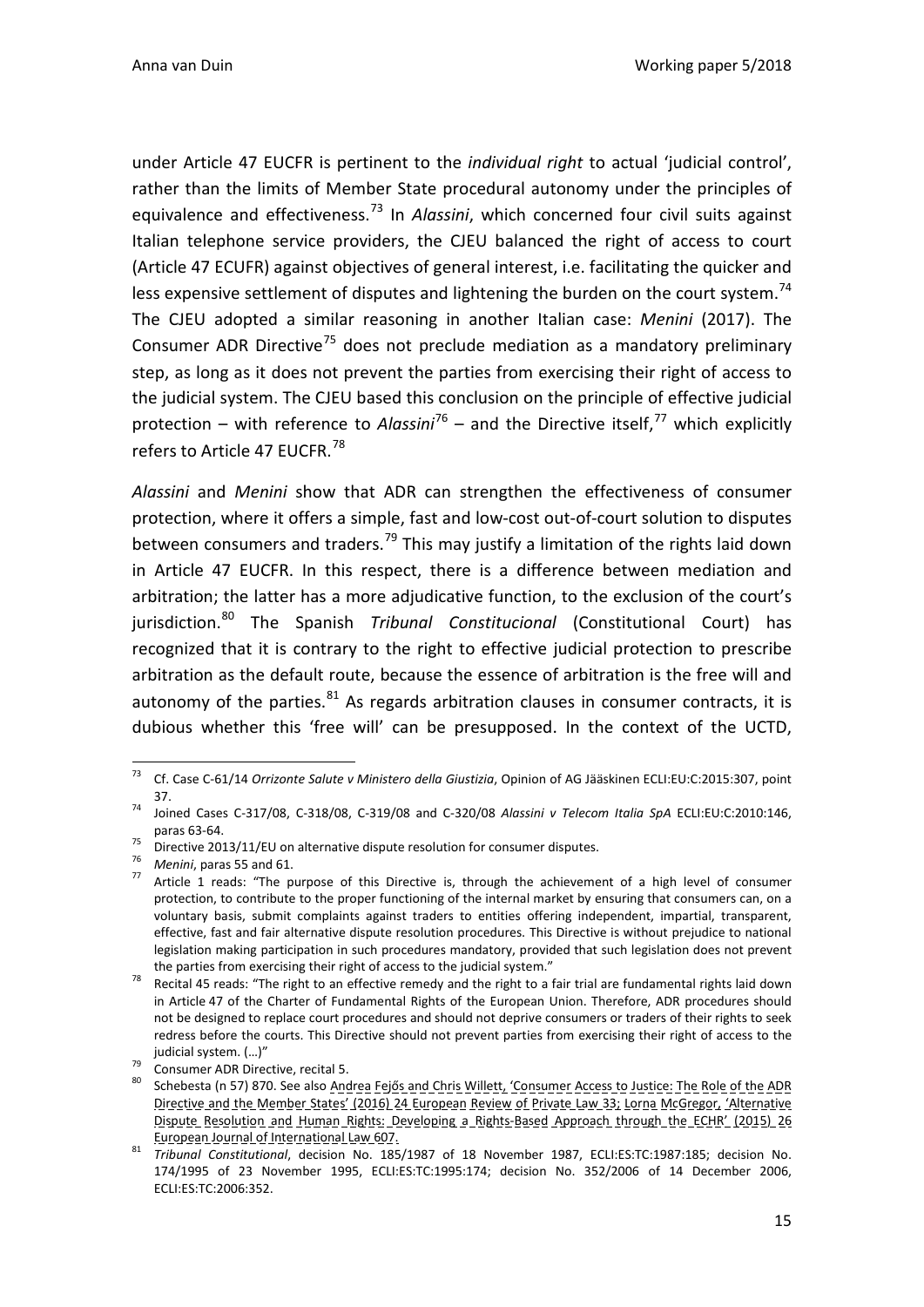under Article 47 EUCFR is pertinent to the *individual right* to actual 'judicial control', rather than the limits of Member State procedural autonomy under the principles of equivalence and effectiveness.<sup>[73](#page-15-0)</sup> In *Alassini*, which concerned four civil suits against Italian telephone service providers, the CJEU balanced the right of access to court (Article 47 ECUFR) against objectives of general interest, i.e. facilitating the quicker and less expensive settlement of disputes and lightening the burden on the court system.<sup>[74](#page-15-1)</sup> The CJEU adopted a similar reasoning in another Italian case: *Menini* (2017). The Consumer ADR Directive<sup>[75](#page-15-2)</sup> does not preclude mediation as a mandatory preliminary step, as long as it does not prevent the parties from exercising their right of access to the judicial system. The CJEU based this conclusion on the principle of effective judicial protection – with reference to *Alassini*<sup>[76](#page-15-3)</sup> – and the Directive itself,<sup>[77](#page-15-4)</sup> which explicitly refers to Article 47 EUCFR.<sup>[78](#page-15-5)</sup>

*Alassini* and *Menini* show that ADR can strengthen the effectiveness of consumer protection, where it offers a simple, fast and low-cost out-of-court solution to disputes between consumers and traders.<sup>[79](#page-15-6)</sup> This may justify a limitation of the rights laid down in Article 47 EUCFR. In this respect, there is a difference between mediation and arbitration; the latter has a more adjudicative function, to the exclusion of the court's jurisdiction.[80](#page-15-7) The Spanish *Tribunal Constitucional* (Constitutional Court) has recognized that it is contrary to the right to effective judicial protection to prescribe arbitration as the default route, because the essence of arbitration is the free will and autonomy of the parties. $81$  As regards arbitration clauses in consumer contracts, it is dubious whether this 'free will' can be presupposed. In the context of the UCTD,

<span id="page-15-0"></span> <sup>73</sup> Cf. Case C-61/14 *Orrizonte Salute v Ministero della Giustizia*, Opinion of AG Jääskinen ECLI:EU:C:2015:307, point

<span id="page-15-1"></span><sup>37. 74</sup> Joined Cases C-317/08, C-318/08, C-319/08 and C-320/08 *Alassini v Telecom Italia SpA* ECLI:EU:C:2010:146, paras 63-64.<br><sup>75</sup> Directive 2013/11/EU on alternative dispute resolution for consumer disputes.<br><sup>76</sup> Menini, paras 55 and 61.<br><sup>77</sup> Article 1 reads: "The purpose of this Directive is, through the achievement of a high leve

<span id="page-15-3"></span><span id="page-15-2"></span>

<span id="page-15-4"></span>protection, to contribute to the proper functioning of the internal market by ensuring that consumers can, on a voluntary basis, submit complaints against traders to entities offering independent, impartial, transparent, effective, fast and fair alternative dispute resolution procedures. This Directive is without prejudice to national legislation making participation in such procedures mandatory, provided that such legislation does not prevent

<span id="page-15-5"></span>the parties from exercising their right of access to the judicial system."<br>Recital 45 reads: "The right to an effective remedy and the right to a fair trial are fundamental rights laid down in Article 47 of the Charter of Fundamental Rights of the European Union. Therefore, ADR procedures should not be designed to replace court procedures and should not deprive consumers or traders of their rights to seek redress before the courts. This Directive should not prevent parties from exercising their right of access to the

<span id="page-15-7"></span>

<span id="page-15-6"></span>judicial system. (…)"<br><sup>79</sup> Consumer ADR Directive, recital 5.<br><sup>80</sup> Schebesta (n 57) 870. See also <u>Andrea Fejős and Chris Willett, 'Consumer Access to Justice: The Role of the ADR</u> Directive and the Member States' (2016) 24 European Review of Private Law 33; Lorna McGregor, 'Alternative Dispute Resolution and Human Rights: Developing a Rights-Based Approach through the ECHR' (2015) 26 European Journal of International Law 607. <sup>81</sup> *Tribunal Constitutional*, decision No. 185/1987 of 18 November 1987, ECLI:ES:TC:1987:185; decision No.

<span id="page-15-8"></span><sup>174/1995</sup> of 23 November 1995, ECLI:ES:TC:1995:174; decision No. 352/2006 of 14 December 2006, ECLI:ES:TC:2006:352.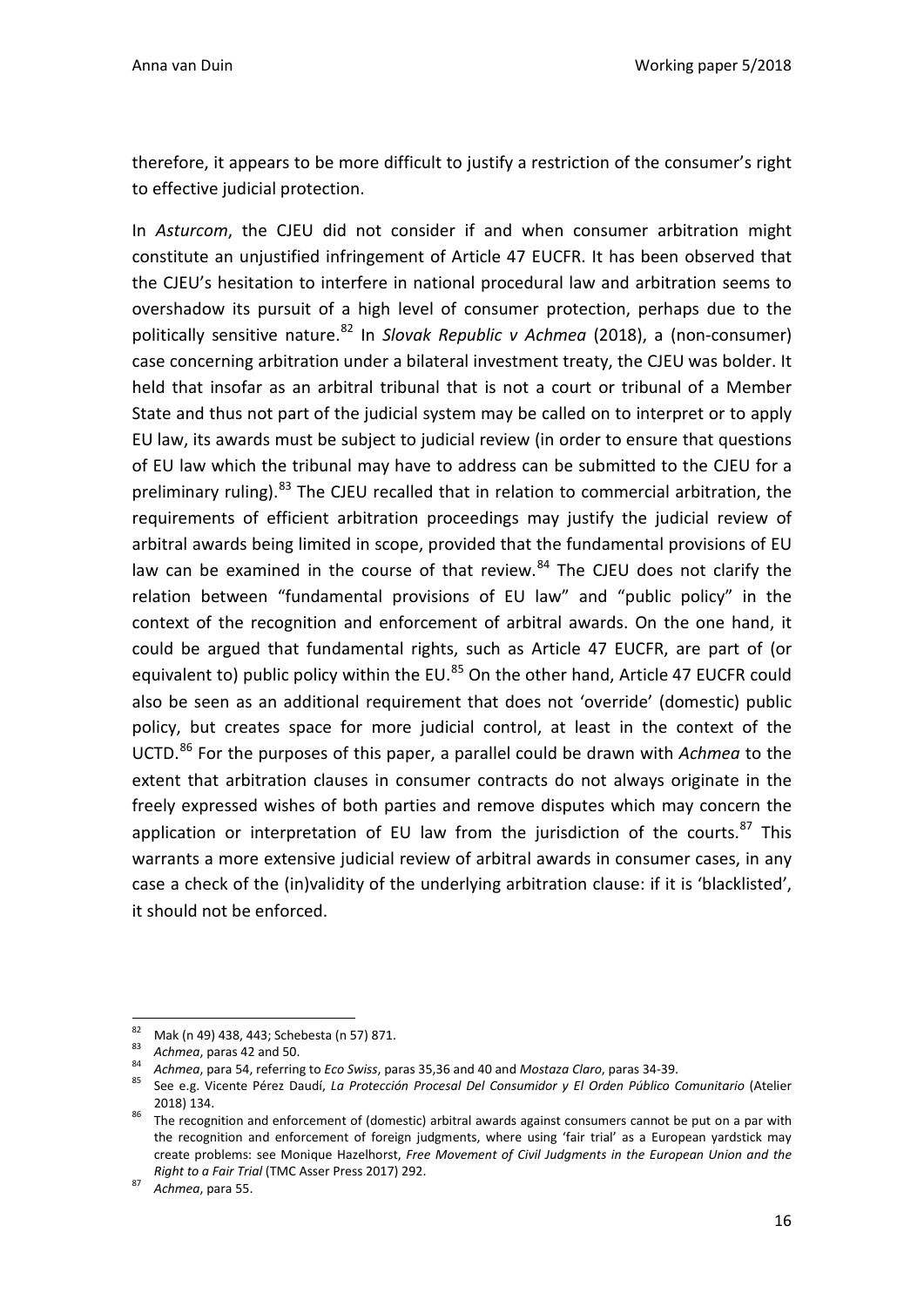therefore, it appears to be more difficult to justify a restriction of the consumer's right to effective judicial protection.

In *Asturcom*, the CJEU did not consider if and when consumer arbitration might constitute an unjustified infringement of Article 47 EUCFR. It has been observed that the CJEU's hesitation to interfere in national procedural law and arbitration seems to overshadow its pursuit of a high level of consumer protection, perhaps due to the politically sensitive nature.[82](#page-16-1) In *Slovak Republic v Achmea* (2018), a (non-consumer) case concerning arbitration under a bilateral investment treaty, the CJEU was bolder. It held that insofar as an arbitral tribunal that is not a court or tribunal of a Member State and thus not part of the judicial system may be called on to interpret or to apply EU law, its awards must be subject to judicial review (in order to ensure that questions of EU law which the tribunal may have to address can be submitted to the CJEU for a preliminary ruling).<sup>[83](#page-16-2)</sup> The CJEU recalled that in relation to commercial arbitration, the requirements of efficient arbitration proceedings may justify the judicial review of arbitral awards being limited in scope, provided that the fundamental provisions of EU law can be examined in the course of that review. $84$  The CJEU does not clarify the relation between "fundamental provisions of EU law" and "public policy" in the context of the recognition and enforcement of arbitral awards. On the one hand, it could be argued that fundamental rights, such as Article 47 EUCFR, are part of (or equivalent to) public policy within the EU.<sup>[85](#page-16-4)</sup> On the other hand, Article 47 EUCFR could also be seen as an additional requirement that does not 'override' (domestic) public policy, but creates space for more judicial control, at least in the context of the UCTD.[86](#page-16-5) For the purposes of this paper, a parallel could be drawn with *Achmea* to the extent that arbitration clauses in consumer contracts do not always originate in the freely expressed wishes of both parties and remove disputes which may concern the application or interpretation of EU law from the jurisdiction of the courts.<sup>[87](#page-16-6)</sup> This warrants a more extensive judicial review of arbitral awards in consumer cases, in any case a check of the (in)validity of the underlying arbitration clause: if it is 'blacklisted', it should not be enforced.

<span id="page-16-2"></span>

<span id="page-16-3"></span>

<span id="page-16-1"></span><span id="page-16-0"></span><sup>&</sup>lt;sup>82</sup> Mak (n 49) 438, 443; Schebesta (n 57) 871.<br><sup>83</sup> Achmea, paras 42 and 50.<br><sup>84</sup> Achmea, para 54, referring to *Eco Swiss*, paras 35,36 and 40 and Mostaza Claro, paras 34-39.<br><sup>85</sup> See e.g. Vicente Pérez Daudí, La Protec

<span id="page-16-5"></span><span id="page-16-4"></span><sup>2018) 134. 2018) 134. 2018 134.</sup> It enforcement of (domestic) arbitral awards against consumers cannot be put on a par with the recognition and enforcement of foreign judgments, where using 'fair trial' as a European yardstick may create problems: see Monique Hazelhorst, *Free Movement of Civil Judgments in the European Union and the Right to a Fair Trial* (TMC Asser Press 2017) 292. <sup>87</sup> *Achmea*, para 55.

<span id="page-16-6"></span>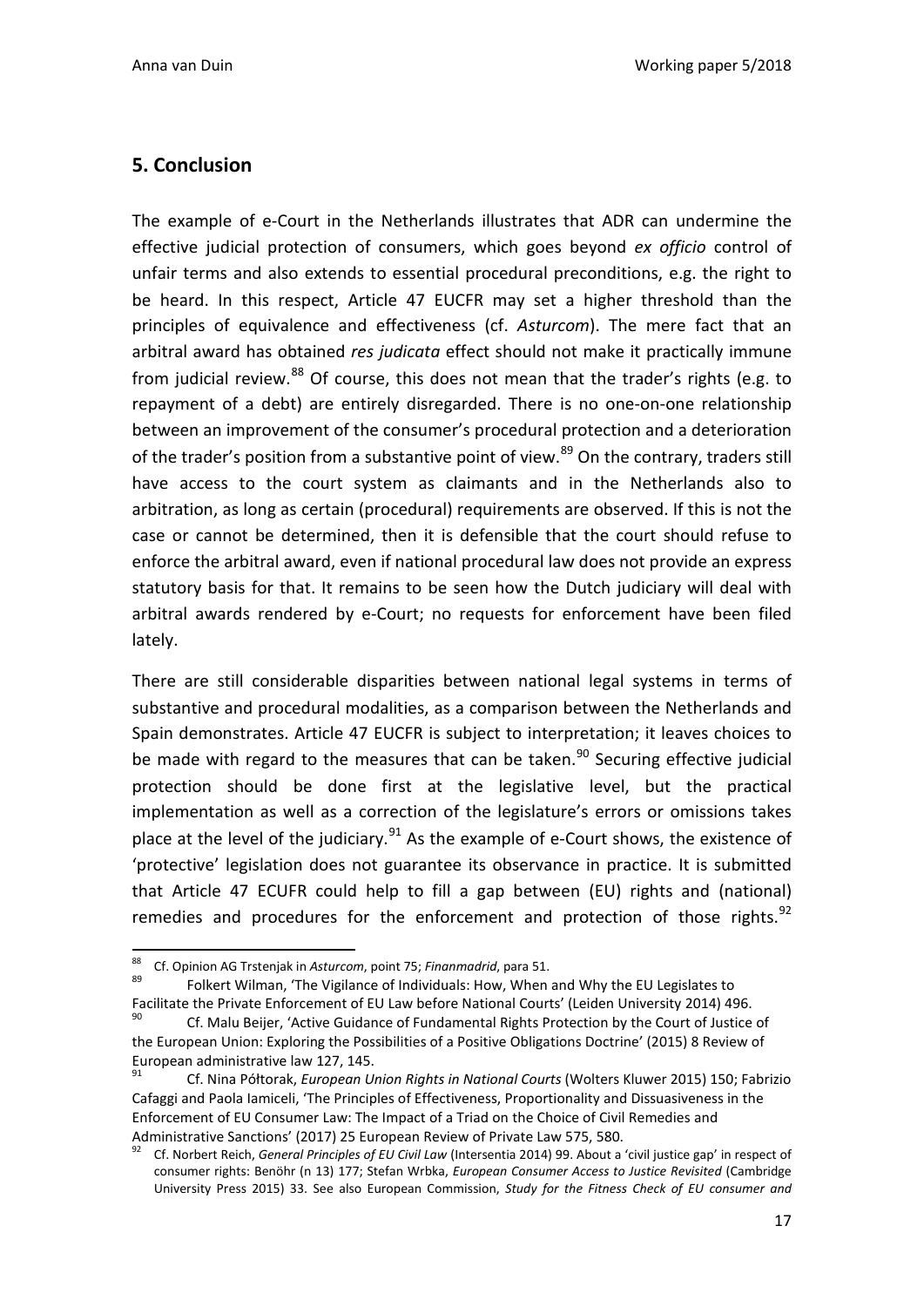### **5. Conclusion**

The example of e-Court in the Netherlands illustrates that ADR can undermine the effective judicial protection of consumers, which goes beyond *ex officio* control of unfair terms and also extends to essential procedural preconditions, e.g. the right to be heard. In this respect, Article 47 EUCFR may set a higher threshold than the principles of equivalence and effectiveness (cf. *Asturcom*). The mere fact that an arbitral award has obtained *res judicata* effect should not make it practically immune from judicial review. $88$  Of course, this does not mean that the trader's rights (e.g. to repayment of a debt) are entirely disregarded. There is no one-on-one relationship between an improvement of the consumer's procedural protection and a deterioration of the trader's position from a substantive point of view.<sup>[89](#page-17-1)</sup> On the contrary, traders still have access to the court system as claimants and in the Netherlands also to arbitration, as long as certain (procedural) requirements are observed. If this is not the case or cannot be determined, then it is defensible that the court should refuse to enforce the arbitral award, even if national procedural law does not provide an express statutory basis for that. It remains to be seen how the Dutch judiciary will deal with arbitral awards rendered by e-Court; no requests for enforcement have been filed lately.

There are still considerable disparities between national legal systems in terms of substantive and procedural modalities, as a comparison between the Netherlands and Spain demonstrates. Article 47 EUCFR is subject to interpretation; it leaves choices to be made with regard to the measures that can be taken.<sup>[90](#page-17-2)</sup> Securing effective judicial protection should be done first at the legislative level, but the practical implementation as well as a correction of the legislature's errors or omissions takes place at the level of the judiciary. $91$  As the example of e-Court shows, the existence of 'protective' legislation does not guarantee its observance in practice. It is submitted that Article 47 ECUFR could help to fill a gap between (EU) rights and (national) remedies and procedures for the enforcement and protection of those rights. $92$ 

<span id="page-17-1"></span><span id="page-17-0"></span><sup>88</sup> Cf. Opinion AG Trstenjak in *Asturcom*, point 75; *Finanmadrid*, para 51.<br><sup>89</sup> Folkert Wilman, 'The Vigilance of Individuals: How, When and Why the EU Legislates to Facilitate the Private Enforcement of EU Law before National Courts' (Leiden University 2014) 496.

<span id="page-17-2"></span><sup>90</sup> Cf. Malu Beijer, 'Active Guidance of Fundamental Rights Protection by the Court of Justice of the European Union: Exploring the Possibilities of a Positive Obligations Doctrine' (2015) 8 Review of European administrative law 127, 145.

<span id="page-17-3"></span><sup>91</sup> Cf. Nina Półtorak, *European Union Rights in National Courts* (Wolters Kluwer 2015) 150; Fabrizio Cafaggi and Paola Iamiceli, 'The Principles of Effectiveness, Proportionality and Dissuasiveness in the Enforcement of EU Consumer Law: The Impact of a Triad on the Choice of Civil Remedies and Administrative Sanctions' (2017) 25 European Review of Private Law 575, 580.<br><sup>92</sup> Cf. Norbert Reich, *General Principles of EU Civil Law* (Intersentia 2014) 99. About a 'civil justice gap' in respect of

<span id="page-17-4"></span>consumer rights: Benöhr (n 13) 177; Stefan Wrbka, *European Consumer Access to Justice Revisited* (Cambridge University Press 2015) 33. See also European Commission, *Study for the Fitness Check of EU consumer and*